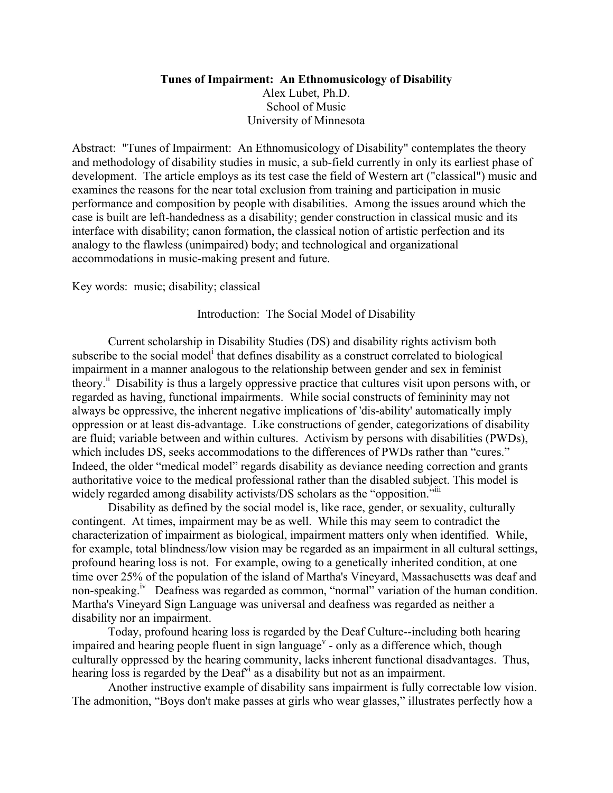# **Tunes of Impairment: An Ethnomusicology of Disability** Alex Lubet, Ph.D. School of Music University of Minnesota

Abstract: "Tunes of Impairment: An Ethnomusicology of Disability" contemplates the theory and methodology of disability studies in music, a sub-field currently in only its earliest phase of development. The article employs as its test case the field of Western art ("classical") music and examines the reasons for the near total exclusion from training and participation in music performance and composition by people with disabilities. Among the issues around which the case is built are left-handedness as a disability; gender construction in classical music and its interface with disability; canon formation, the classical notion of artistic perfection and its analogy to the flawless (unimpaired) body; and technological and organizational accommodations in music-making present and future.

Key words: music; disability; classical

# Introduction: The Social Model of Disability

Current scholarship in Disability Studies (DS) and disability rights activism both subscribe to the social model<sup>i</sup> that defines disability as a construct correlated to biological impairment in a manner analogous to the relationship between gender and sex in feminist theory.<sup>ii</sup> Disability is thus a largely oppressive practice that cultures visit upon persons with, or regarded as having, functional impairments. While social constructs of femininity may not always be oppressive, the inherent negative implications of 'dis-ability' automatically imply oppression or at least dis-advantage. Like constructions of gender, categorizations of disability are fluid; variable between and within cultures. Activism by persons with disabilities (PWDs), which includes DS, seeks accommodations to the differences of PWDs rather than "cures." Indeed, the older "medical model" regards disability as deviance needing correction and grants authoritative voice to the medical professional rather than the disabled subject. This model is widely regarded among disability activists/DS scholars as the "opposition."

Disability as defined by the social model is, like race, gender, or sexuality, culturally contingent. At times, impairment may be as well. While this may seem to contradict the characterization of impairment as biological, impairment matters only when identified. While, for example, total blindness/low vision may be regarded as an impairment in all cultural settings, profound hearing loss is not. For example, owing to a genetically inherited condition, at one time over 25% of the population of the island of Martha's Vineyard, Massachusetts was deaf and non-speaking.<sup>iv</sup> Deafness was regarded as common, "normal" variation of the human condition. Martha's Vineyard Sign Language was universal and deafness was regarded as neither a disability nor an impairment.

Today, profound hearing loss is regarded by the Deaf Culture--including both hearing impaired and hearing people fluent in sign language<sup> $v$ </sup> - only as a difference which, though culturally oppressed by the hearing community, lacks inherent functional disadvantages. Thus, hearing loss is regarded by the  $\text{Deaf}^{\text{vi}}$  as a disability but not as an impairment.

Another instructive example of disability sans impairment is fully correctable low vision. The admonition, "Boys don't make passes at girls who wear glasses," illustrates perfectly how a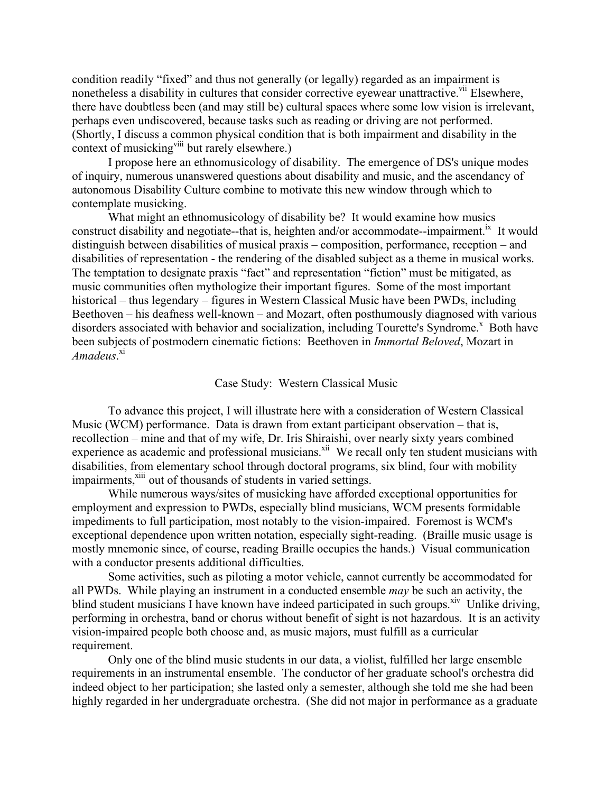condition readily "fixed" and thus not generally (or legally) regarded as an impairment is nonetheless a disability in cultures that consider corrective eyewear unattractive.<sup>vii</sup> Elsewhere, there have doubtless been (and may still be) cultural spaces where some low vision is irrelevant, perhaps even undiscovered, because tasks such as reading or driving are not performed. (Shortly, I discuss a common physical condition that is both impairment and disability in the context of musicking<sup>viii</sup> but rarely elsewhere.)

I propose here an ethnomusicology of disability. The emergence of DS's unique modes of inquiry, numerous unanswered questions about disability and music, and the ascendancy of autonomous Disability Culture combine to motivate this new window through which to contemplate musicking.

What might an ethnomusicology of disability be? It would examine how musics construct disability and negotiate--that is, heighten and/or accommodate--impairment.<sup>1x</sup> It would distinguish between disabilities of musical praxis – composition, performance, reception – and disabilities of representation - the rendering of the disabled subject as a theme in musical works. The temptation to designate praxis "fact" and representation "fiction" must be mitigated, as music communities often mythologize their important figures. Some of the most important historical – thus legendary – figures in Western Classical Music have been PWDs, including Beethoven – his deafness well-known – and Mozart, often posthumously diagnosed with various disorders associated with behavior and socialization, including Tourette's Syndrome.<sup>x</sup> Both have been subjects of postmodern cinematic fictions: Beethoven in *Immortal Beloved*, Mozart in *Amadeus*. xi

#### Case Study: Western Classical Music

To advance this project, I will illustrate here with a consideration of Western Classical Music (WCM) performance. Data is drawn from extant participant observation – that is, recollection – mine and that of my wife, Dr. Iris Shiraishi, over nearly sixty years combined experience as academic and professional musicians.<sup>xii</sup> We recall only ten student musicians with disabilities, from elementary school through doctoral programs, six blind, four with mobility impairments,<sup>xiii</sup> out of thousands of students in varied settings.

While numerous ways/sites of musicking have afforded exceptional opportunities for employment and expression to PWDs, especially blind musicians, WCM presents formidable impediments to full participation, most notably to the vision-impaired. Foremost is WCM's exceptional dependence upon written notation, especially sight-reading. (Braille music usage is mostly mnemonic since, of course, reading Braille occupies the hands.) Visual communication with a conductor presents additional difficulties.

Some activities, such as piloting a motor vehicle, cannot currently be accommodated for all PWDs. While playing an instrument in a conducted ensemble *may* be such an activity, the blind student musicians I have known have indeed participated in such groups.<sup>xiv</sup> Unlike driving, performing in orchestra, band or chorus without benefit of sight is not hazardous. It is an activity vision-impaired people both choose and, as music majors, must fulfill as a curricular requirement.

Only one of the blind music students in our data, a violist, fulfilled her large ensemble requirements in an instrumental ensemble. The conductor of her graduate school's orchestra did indeed object to her participation; she lasted only a semester, although she told me she had been highly regarded in her undergraduate orchestra. (She did not major in performance as a graduate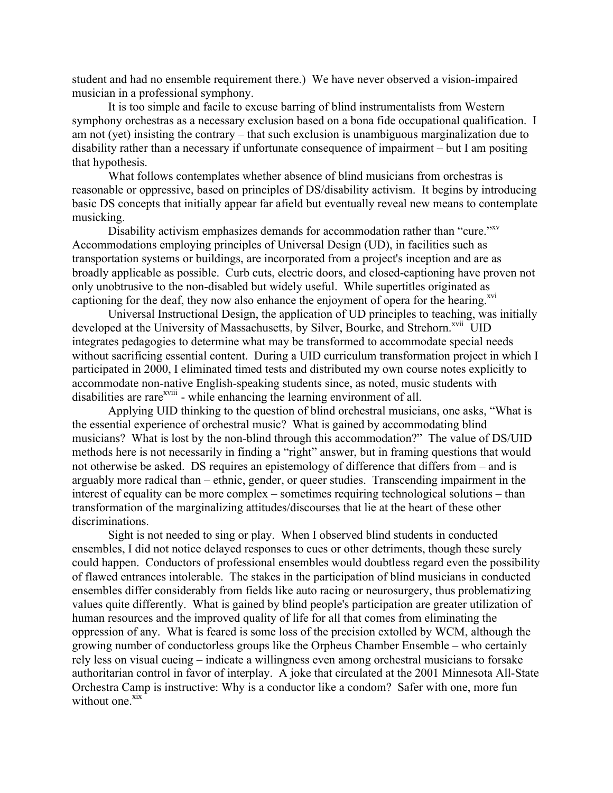student and had no ensemble requirement there.) We have never observed a vision-impaired musician in a professional symphony.

It is too simple and facile to excuse barring of blind instrumentalists from Western symphony orchestras as a necessary exclusion based on a bona fide occupational qualification. I am not (yet) insisting the contrary – that such exclusion is unambiguous marginalization due to disability rather than a necessary if unfortunate consequence of impairment – but I am positing that hypothesis.

What follows contemplates whether absence of blind musicians from orchestras is reasonable or oppressive, based on principles of DS/disability activism. It begins by introducing basic DS concepts that initially appear far afield but eventually reveal new means to contemplate musicking.

Disability activism emphasizes demands for accommodation rather than "cure."<sup>xv</sup> Accommodations employing principles of Universal Design (UD), in facilities such as transportation systems or buildings, are incorporated from a project's inception and are as broadly applicable as possible. Curb cuts, electric doors, and closed-captioning have proven not only unobtrusive to the non-disabled but widely useful. While supertitles originated as captioning for the deaf, they now also enhance the enjoyment of opera for the hearing.<sup>xvi</sup>

Universal Instructional Design, the application of UD principles to teaching, was initially developed at the University of Massachusetts, by Silver, Bourke, and Strehorn.<sup>xvii</sup> UID integrates pedagogies to determine what may be transformed to accommodate special needs without sacrificing essential content. During a UID curriculum transformation project in which I participated in 2000, I eliminated timed tests and distributed my own course notes explicitly to accommodate non-native English-speaking students since, as noted, music students with disabilities are rare<sup>xviii</sup> - while enhancing the learning environment of all.

Applying UID thinking to the question of blind orchestral musicians, one asks, "What is the essential experience of orchestral music? What is gained by accommodating blind musicians? What is lost by the non-blind through this accommodation?" The value of DS/UID methods here is not necessarily in finding a "right" answer, but in framing questions that would not otherwise be asked. DS requires an epistemology of difference that differs from – and is arguably more radical than – ethnic, gender, or queer studies. Transcending impairment in the interest of equality can be more complex – sometimes requiring technological solutions – than transformation of the marginalizing attitudes/discourses that lie at the heart of these other discriminations.

Sight is not needed to sing or play. When I observed blind students in conducted ensembles, I did not notice delayed responses to cues or other detriments, though these surely could happen. Conductors of professional ensembles would doubtless regard even the possibility of flawed entrances intolerable. The stakes in the participation of blind musicians in conducted ensembles differ considerably from fields like auto racing or neurosurgery, thus problematizing values quite differently. What is gained by blind people's participation are greater utilization of human resources and the improved quality of life for all that comes from eliminating the oppression of any. What is feared is some loss of the precision extolled by WCM, although the growing number of conductorless groups like the Orpheus Chamber Ensemble – who certainly rely less on visual cueing – indicate a willingness even among orchestral musicians to forsake authoritarian control in favor of interplay. A joke that circulated at the 2001 Minnesota All-State Orchestra Camp is instructive: Why is a conductor like a condom? Safer with one, more fun without one $\frac{xx}{x}$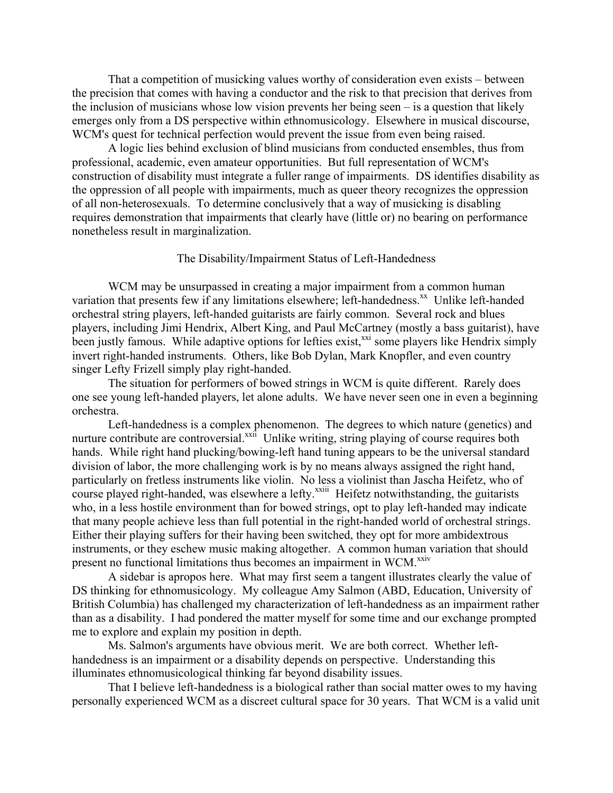That a competition of musicking values worthy of consideration even exists – between the precision that comes with having a conductor and the risk to that precision that derives from the inclusion of musicians whose low vision prevents her being seen – is a question that likely emerges only from a DS perspective within ethnomusicology. Elsewhere in musical discourse, WCM's quest for technical perfection would prevent the issue from even being raised.

A logic lies behind exclusion of blind musicians from conducted ensembles, thus from professional, academic, even amateur opportunities. But full representation of WCM's construction of disability must integrate a fuller range of impairments. DS identifies disability as the oppression of all people with impairments, much as queer theory recognizes the oppression of all non-heterosexuals. To determine conclusively that a way of musicking is disabling requires demonstration that impairments that clearly have (little or) no bearing on performance nonetheless result in marginalization.

# The Disability/Impairment Status of Left-Handedness

WCM may be unsurpassed in creating a major impairment from a common human variation that presents few if any limitations elsewhere; left-handedness.<sup>xx</sup> Unlike left-handed orchestral string players, left-handed guitarists are fairly common. Several rock and blues players, including Jimi Hendrix, Albert King, and Paul McCartney (mostly a bass guitarist), have been justly famous. While adaptive options for lefties exist,<sup>xxi</sup> some players like Hendrix simply invert right-handed instruments. Others, like Bob Dylan, Mark Knopfler, and even country singer Lefty Frizell simply play right-handed.

The situation for performers of bowed strings in WCM is quite different. Rarely does one see young left-handed players, let alone adults. We have never seen one in even a beginning orchestra.

Left-handedness is a complex phenomenon. The degrees to which nature (genetics) and nurture contribute are controversial.<sup>xxii</sup> Unlike writing, string playing of course requires both hands. While right hand plucking/bowing-left hand tuning appears to be the universal standard division of labor, the more challenging work is by no means always assigned the right hand, particularly on fretless instruments like violin. No less a violinist than Jascha Heifetz, who of course played right-handed, was elsewhere a lefty.<sup>xxiii</sup> Heifetz notwithstanding, the guitarists who, in a less hostile environment than for bowed strings, opt to play left-handed may indicate that many people achieve less than full potential in the right-handed world of orchestral strings. Either their playing suffers for their having been switched, they opt for more ambidextrous instruments, or they eschew music making altogether. A common human variation that should present no functional limitations thus becomes an impairment in WCM.<sup>xxiv</sup>

A sidebar is apropos here. What may first seem a tangent illustrates clearly the value of DS thinking for ethnomusicology. My colleague Amy Salmon (ABD, Education, University of British Columbia) has challenged my characterization of left-handedness as an impairment rather than as a disability. I had pondered the matter myself for some time and our exchange prompted me to explore and explain my position in depth.

Ms. Salmon's arguments have obvious merit. We are both correct. Whether lefthandedness is an impairment or a disability depends on perspective. Understanding this illuminates ethnomusicological thinking far beyond disability issues.

That I believe left-handedness is a biological rather than social matter owes to my having personally experienced WCM as a discreet cultural space for 30 years. That WCM is a valid unit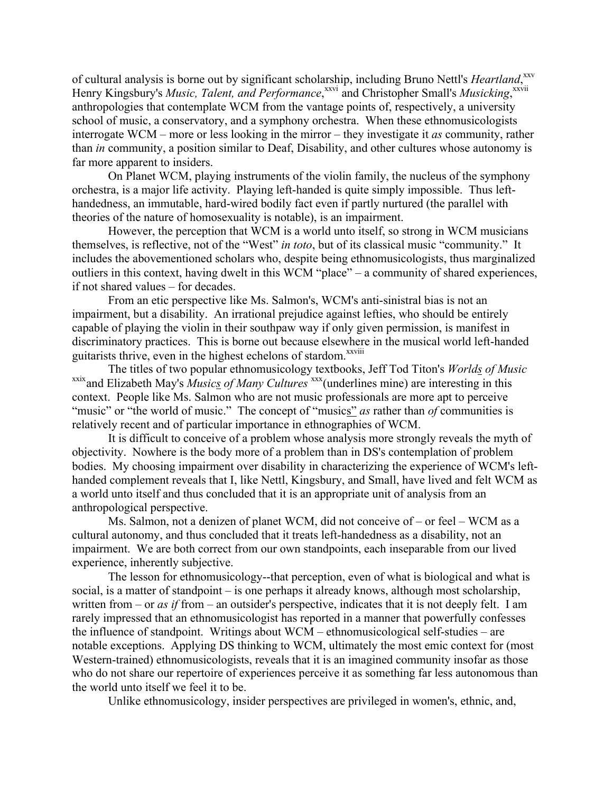of cultural analysis is borne out by significant scholarship, including Bruno Nettl's *Heartland*,<sup>xxv</sup> Henry Kingsbury's *Music, Talent, and Performance*,<sup>xxvi</sup> and Christopher Small's *Musicking*,<sup>xxvii</sup> anthropologies that contemplate WCM from the vantage points of, respectively, a university school of music, a conservatory, and a symphony orchestra. When these ethnomusicologists interrogate WCM – more or less looking in the mirror – they investigate it *as* community, rather than *in* community, a position similar to Deaf, Disability, and other cultures whose autonomy is far more apparent to insiders.

On Planet WCM, playing instruments of the violin family, the nucleus of the symphony orchestra, is a major life activity. Playing left-handed is quite simply impossible. Thus lefthandedness, an immutable, hard-wired bodily fact even if partly nurtured (the parallel with theories of the nature of homosexuality is notable), is an impairment.

However, the perception that WCM is a world unto itself, so strong in WCM musicians themselves, is reflective, not of the "West" *in toto*, but of its classical music "community." It includes the abovementioned scholars who, despite being ethnomusicologists, thus marginalized outliers in this context, having dwelt in this WCM "place" – a community of shared experiences, if not shared values – for decades.

From an etic perspective like Ms. Salmon's, WCM's anti-sinistral bias is not an impairment, but a disability. An irrational prejudice against lefties, who should be entirely capable of playing the violin in their southpaw way if only given permission, is manifest in discriminatory practices. This is borne out because elsewhere in the musical world left-handed guitarists thrive, even in the highest echelons of stardom.<sup>xxviii</sup>

The titles of two popular ethnomusicology textbooks, Jeff Tod Titon's *Worlds of Music* xxix and Elizabeth May's *Musics of Many Cultures* xxx (underlines mine) are interesting in this context. People like Ms. Salmon who are not music professionals are more apt to perceive "music" or "the world of music." The concept of "musics" *as* rather than *of* communities is relatively recent and of particular importance in ethnographies of WCM.

It is difficult to conceive of a problem whose analysis more strongly reveals the myth of objectivity. Nowhere is the body more of a problem than in DS's contemplation of problem bodies. My choosing impairment over disability in characterizing the experience of WCM's lefthanded complement reveals that I, like Nettl, Kingsbury, and Small, have lived and felt WCM as a world unto itself and thus concluded that it is an appropriate unit of analysis from an anthropological perspective.

Ms. Salmon, not a denizen of planet WCM, did not conceive of – or feel – WCM as a cultural autonomy, and thus concluded that it treats left-handedness as a disability, not an impairment. We are both correct from our own standpoints, each inseparable from our lived experience, inherently subjective.

The lesson for ethnomusicology--that perception, even of what is biological and what is social, is a matter of standpoint – is one perhaps it already knows, although most scholarship, written from – or *as if* from – an outsider's perspective, indicates that it is not deeply felt. I am rarely impressed that an ethnomusicologist has reported in a manner that powerfully confesses the influence of standpoint. Writings about WCM – ethnomusicological self-studies – are notable exceptions. Applying DS thinking to WCM, ultimately the most emic context for (most Western-trained) ethnomusicologists, reveals that it is an imagined community insofar as those who do not share our repertoire of experiences perceive it as something far less autonomous than the world unto itself we feel it to be.

Unlike ethnomusicology, insider perspectives are privileged in women's, ethnic, and,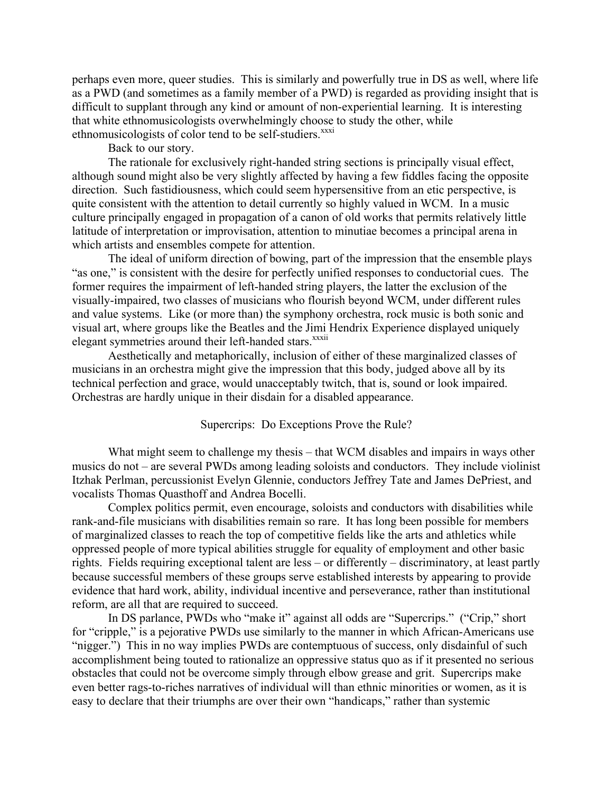perhaps even more, queer studies. This is similarly and powerfully true in DS as well, where life as a PWD (and sometimes as a family member of a PWD) is regarded as providing insight that is difficult to supplant through any kind or amount of non-experiential learning. It is interesting that white ethnomusicologists overwhelmingly choose to study the other, while ethnomusicologists of color tend to be self-studiers.<sup>xxxi</sup>

Back to our story.

The rationale for exclusively right-handed string sections is principally visual effect, although sound might also be very slightly affected by having a few fiddles facing the opposite direction. Such fastidiousness, which could seem hypersensitive from an etic perspective, is quite consistent with the attention to detail currently so highly valued in WCM. In a music culture principally engaged in propagation of a canon of old works that permits relatively little latitude of interpretation or improvisation, attention to minutiae becomes a principal arena in which artists and ensembles compete for attention.

The ideal of uniform direction of bowing, part of the impression that the ensemble plays "as one," is consistent with the desire for perfectly unified responses to conductorial cues. The former requires the impairment of left-handed string players, the latter the exclusion of the visually-impaired, two classes of musicians who flourish beyond WCM, under different rules and value systems. Like (or more than) the symphony orchestra, rock music is both sonic and visual art, where groups like the Beatles and the Jimi Hendrix Experience displayed uniquely elegant symmetries around their left-handed stars.<sup>xxxii</sup>

Aesthetically and metaphorically, inclusion of either of these marginalized classes of musicians in an orchestra might give the impression that this body, judged above all by its technical perfection and grace, would unacceptably twitch, that is, sound or look impaired. Orchestras are hardly unique in their disdain for a disabled appearance.

### Supercrips: Do Exceptions Prove the Rule?

What might seem to challenge my thesis – that WCM disables and impairs in ways other musics do not – are several PWDs among leading soloists and conductors. They include violinist Itzhak Perlman, percussionist Evelyn Glennie, conductors Jeffrey Tate and James DePriest, and vocalists Thomas Quasthoff and Andrea Bocelli.

Complex politics permit, even encourage, soloists and conductors with disabilities while rank-and-file musicians with disabilities remain so rare. It has long been possible for members of marginalized classes to reach the top of competitive fields like the arts and athletics while oppressed people of more typical abilities struggle for equality of employment and other basic rights. Fields requiring exceptional talent are less – or differently – discriminatory, at least partly because successful members of these groups serve established interests by appearing to provide evidence that hard work, ability, individual incentive and perseverance, rather than institutional reform, are all that are required to succeed.

In DS parlance, PWDs who "make it" against all odds are "Supercrips." ("Crip," short for "cripple," is a pejorative PWDs use similarly to the manner in which African-Americans use "nigger.") This in no way implies PWDs are contemptuous of success, only disdainful of such accomplishment being touted to rationalize an oppressive status quo as if it presented no serious obstacles that could not be overcome simply through elbow grease and grit. Supercrips make even better rags-to-riches narratives of individual will than ethnic minorities or women, as it is easy to declare that their triumphs are over their own "handicaps," rather than systemic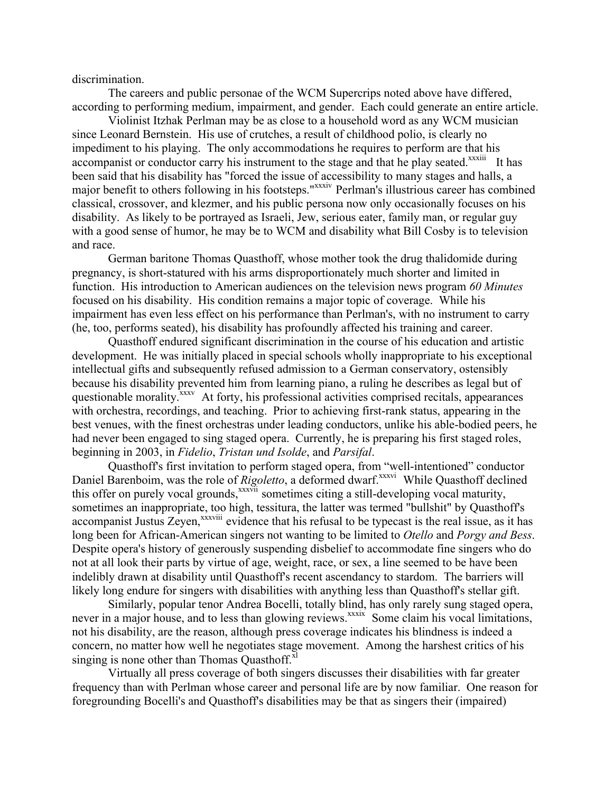discrimination.

The careers and public personae of the WCM Supercrips noted above have differed, according to performing medium, impairment, and gender. Each could generate an entire article.

Violinist Itzhak Perlman may be as close to a household word as any WCM musician since Leonard Bernstein. His use of crutches, a result of childhood polio, is clearly no impediment to his playing. The only accommodations he requires to perform are that his accompanist or conductor carry his instrument to the stage and that he play seated.<sup>xxxiii</sup> It has been said that his disability has "forced the issue of accessibility to many stages and halls, a major benefit to others following in his footsteps."<sup>xxxiv</sup> Perlman's illustrious career has combined classical, crossover, and klezmer, and his public persona now only occasionally focuses on his disability. As likely to be portrayed as Israeli, Jew, serious eater, family man, or regular guy with a good sense of humor, he may be to WCM and disability what Bill Cosby is to television and race.

German baritone Thomas Quasthoff, whose mother took the drug thalidomide during pregnancy, is short-statured with his arms disproportionately much shorter and limited in function. His introduction to American audiences on the television news program *60 Minutes* focused on his disability. His condition remains a major topic of coverage. While his impairment has even less effect on his performance than Perlman's, with no instrument to carry (he, too, performs seated), his disability has profoundly affected his training and career.

Quasthoff endured significant discrimination in the course of his education and artistic development. He was initially placed in special schools wholly inappropriate to his exceptional intellectual gifts and subsequently refused admission to a German conservatory, ostensibly because his disability prevented him from learning piano, a ruling he describes as legal but of questionable morality.<sup>xxxv</sup> At forty, his professional activities comprised recitals, appearances with orchestra, recordings, and teaching. Prior to achieving first-rank status, appearing in the best venues, with the finest orchestras under leading conductors, unlike his able-bodied peers, he had never been engaged to sing staged opera. Currently, he is preparing his first staged roles, beginning in 2003, in *Fidelio*, *Tristan und Isolde*, and *Parsifal*.

Quasthoff's first invitation to perform staged opera, from "well-intentioned" conductor Daniel Barenboim, was the role of *Rigoletto*, a deformed dwarf.<sup>xxxvi</sup> While Quasthoff declined this offer on purely vocal grounds,<sup>xxxvii</sup> sometimes citing a still-developing vocal maturity, sometimes an inappropriate, too high, tessitura, the latter was termed "bullshit" by Quasthoff's accompanist Justus Zeyen,<sup>xxxviii</sup> evidence that his refusal to be typecast is the real issue, as it has long been for African-American singers not wanting to be limited to *Otello* and *Porgy and Bess*. Despite opera's history of generously suspending disbelief to accommodate fine singers who do not at all look their parts by virtue of age, weight, race, or sex, a line seemed to be have been indelibly drawn at disability until Quasthoff's recent ascendancy to stardom. The barriers will likely long endure for singers with disabilities with anything less than Quasthoff's stellar gift.

Similarly, popular tenor Andrea Bocelli, totally blind, has only rarely sung staged opera, never in a major house, and to less than glowing reviews.<sup>xxxix</sup> Some claim his vocal limitations, not his disability, are the reason, although press coverage indicates his blindness is indeed a concern, no matter how well he negotiates stage movement. Among the harshest critics of his singing is none other than Thomas Quasthoff. $x<sup>1</sup>$ 

Virtually all press coverage of both singers discusses their disabilities with far greater frequency than with Perlman whose career and personal life are by now familiar. One reason for foregrounding Bocelli's and Quasthoff's disabilities may be that as singers their (impaired)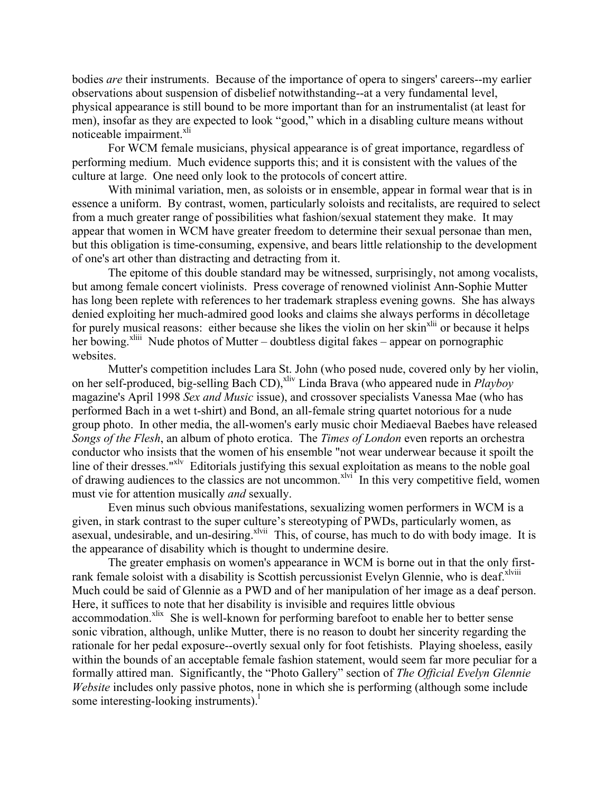bodies *are* their instruments. Because of the importance of opera to singers' careers--my earlier observations about suspension of disbelief notwithstanding--at a very fundamental level, physical appearance is still bound to be more important than for an instrumentalist (at least for men), insofar as they are expected to look "good," which in a disabling culture means without noticeable impairment.<sup>xli</sup>

For WCM female musicians, physical appearance is of great importance, regardless of performing medium. Much evidence supports this; and it is consistent with the values of the culture at large. One need only look to the protocols of concert attire.

With minimal variation, men, as soloists or in ensemble, appear in formal wear that is in essence a uniform. By contrast, women, particularly soloists and recitalists, are required to select from a much greater range of possibilities what fashion/sexual statement they make. It may appear that women in WCM have greater freedom to determine their sexual personae than men, but this obligation is time-consuming, expensive, and bears little relationship to the development of one's art other than distracting and detracting from it.

The epitome of this double standard may be witnessed, surprisingly, not among vocalists, but among female concert violinists. Press coverage of renowned violinist Ann-Sophie Mutter has long been replete with references to her trademark strapless evening gowns. She has always denied exploiting her much-admired good looks and claims she always performs in décolletage for purely musical reasons: either because she likes the violin on her skin<sup>xlii</sup> or because it helps her bowing.<sup>xliii</sup> Nude photos of Mutter – doubtless digital fakes – appear on pornographic websites.

Mutter's competition includes Lara St. John (who posed nude, covered only by her violin, on her self-produced, big-selling Bach CD),<sup>xliv</sup> Linda Brava (who appeared nude in *Playboy* magazine's April 1998 *Sex and Music* issue), and crossover specialists Vanessa Mae (who has performed Bach in a wet t-shirt) and Bond, an all-female string quartet notorious for a nude group photo. In other media, the all-women's early music choir Mediaeval Baebes have released *Songs of the Flesh*, an album of photo erotica. The *Times of London* even reports an orchestra conductor who insists that the women of his ensemble "not wear underwear because it spoilt the line of their dresses."<sup>xlv</sup> Editorials justifying this sexual exploitation as means to the noble goal of drawing audiences to the classics are not uncommon. $x^{\text{Ivi}}$  In this very competitive field, women must vie for attention musically *and* sexually.

Even minus such obvious manifestations, sexualizing women performers in WCM is a given, in stark contrast to the super culture's stereotyping of PWDs, particularly women, as asexual, undesirable, and un-desiring. $x^1$ <sup>Nvii</sup> This, of course, has much to do with body image. It is the appearance of disability which is thought to undermine desire.

The greater emphasis on women's appearance in WCM is borne out in that the only firstrank female soloist with a disability is Scottish percussionist Evelyn Glennie, who is deaf.<sup>xlviii</sup> Much could be said of Glennie as a PWD and of her manipulation of her image as a deaf person. Here, it suffices to note that her disability is invisible and requires little obvious accommodation.<sup>xlix</sup> She is well-known for performing barefoot to enable her to better sense sonic vibration, although, unlike Mutter, there is no reason to doubt her sincerity regarding the rationale for her pedal exposure--overtly sexual only for foot fetishists. Playing shoeless, easily within the bounds of an acceptable female fashion statement, would seem far more peculiar for a formally attired man. Significantly, the "Photo Gallery" section of *The Official Evelyn Glennie Website* includes only passive photos, none in which she is performing (although some include some interesting-looking instruments).<sup>1</sup>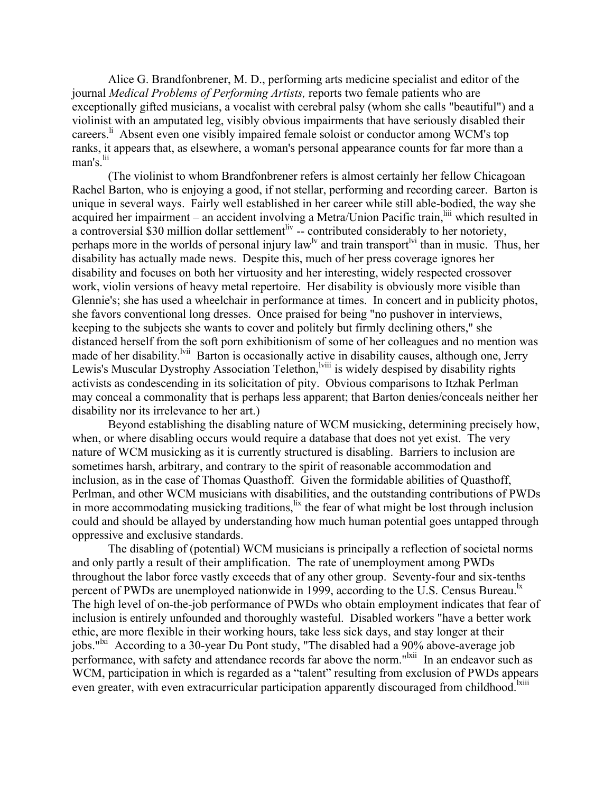Alice G. Brandfonbrener, M. D., performing arts medicine specialist and editor of the journal *Medical Problems of Performing Artists,* reports two female patients who are exceptionally gifted musicians, a vocalist with cerebral palsy (whom she calls "beautiful") and a violinist with an amputated leg, visibly obvious impairments that have seriously disabled their careers.<sup>li</sup> Absent even one visibly impaired female soloist or conductor among WCM's top ranks, it appears that, as elsewhere, a woman's personal appearance counts for far more than a man's  $\frac{di}{di}$ 

(The violinist to whom Brandfonbrener refers is almost certainly her fellow Chicagoan Rachel Barton, who is enjoying a good, if not stellar, performing and recording career. Barton is unique in several ways. Fairly well established in her career while still able-bodied, the way she acquired her impairment – an accident involving a Metra/Union Pacific train, iii which resulted in a controversial \$30 million dollar settlement<sup>liv</sup> -- contributed considerably to her notoriety, perhaps more in the worlds of personal injury law<sup>ly</sup> and train transport<sup>lyj</sup> than in music. Thus, her disability has actually made news. Despite this, much of her press coverage ignores her disability and focuses on both her virtuosity and her interesting, widely respected crossover work, violin versions of heavy metal repertoire. Her disability is obviously more visible than Glennie's; she has used a wheelchair in performance at times. In concert and in publicity photos, she favors conventional long dresses. Once praised for being "no pushover in interviews, keeping to the subjects she wants to cover and politely but firmly declining others," she distanced herself from the soft porn exhibitionism of some of her colleagues and no mention was made of her disability.<sup>Ivii</sup> Barton is occasionally active in disability causes, although one, Jerry Lewis's Muscular Dystrophy Association Telethon,<sup>Iviii</sup> is widely despised by disability rights activists as condescending in its solicitation of pity. Obvious comparisons to Itzhak Perlman may conceal a commonality that is perhaps less apparent; that Barton denies/conceals neither her disability nor its irrelevance to her art.)

Beyond establishing the disabling nature of WCM musicking, determining precisely how, when, or where disabling occurs would require a database that does not yet exist. The very nature of WCM musicking as it is currently structured is disabling. Barriers to inclusion are sometimes harsh, arbitrary, and contrary to the spirit of reasonable accommodation and inclusion, as in the case of Thomas Quasthoff. Given the formidable abilities of Quasthoff, Perlman, and other WCM musicians with disabilities, and the outstanding contributions of PWDs in more accommodating musicking traditions,  $\frac{dx}{dt}$  the fear of what might be lost through inclusion could and should be allayed by understanding how much human potential goes untapped through oppressive and exclusive standards.

The disabling of (potential) WCM musicians is principally a reflection of societal norms and only partly a result of their amplification. The rate of unemployment among PWDs throughout the labor force vastly exceeds that of any other group. Seventy-four and six-tenths percent of PWDs are unemployed nationwide in 1999, according to the U.S. Census Bureau.<sup>1x</sup> The high level of on-the-job performance of PWDs who obtain employment indicates that fear of inclusion is entirely unfounded and thoroughly wasteful. Disabled workers "have a better work ethic, are more flexible in their working hours, take less sick days, and stay longer at their jobs."<sup>Ixi</sup> According to a 30-year Du Pont study, "The disabled had a 90% above-average job performance, with safety and attendance records far above the norm."<sup>Ixii</sup> In an endeavor such as WCM, participation in which is regarded as a "talent" resulting from exclusion of PWDs appears even greater, with even extracurricular participation apparently discouraged from childhood.<sup>Ixiii</sup>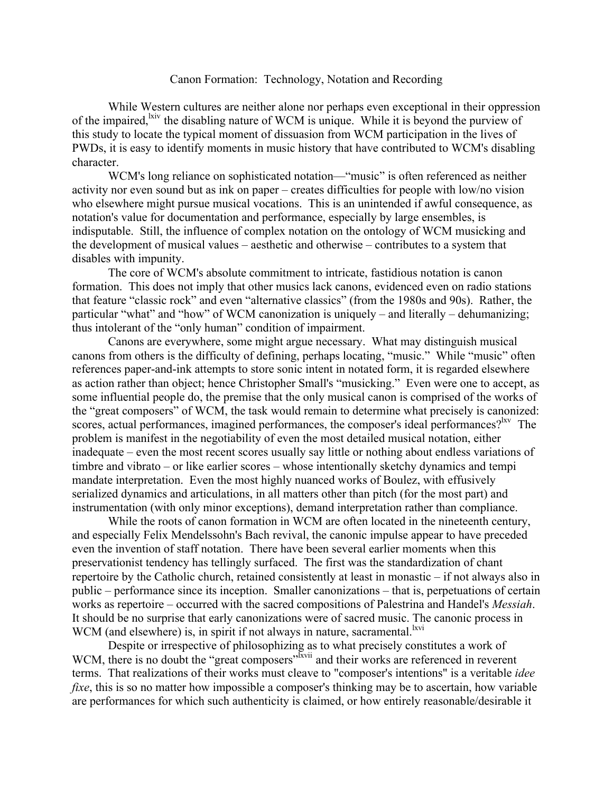### Canon Formation: Technology, Notation and Recording

While Western cultures are neither alone nor perhaps even exceptional in their oppression of the impaired, while it is beyond the purview of  $WCM$  is unique. While it is beyond the purview of this study to locate the typical moment of dissuasion from WCM participation in the lives of PWDs, it is easy to identify moments in music history that have contributed to WCM's disabling character.

WCM's long reliance on sophisticated notation—"music" is often referenced as neither activity nor even sound but as ink on paper – creates difficulties for people with low/no vision who elsewhere might pursue musical vocations. This is an unintended if awful consequence, as notation's value for documentation and performance, especially by large ensembles, is indisputable. Still, the influence of complex notation on the ontology of WCM musicking and the development of musical values – aesthetic and otherwise – contributes to a system that disables with impunity.

The core of WCM's absolute commitment to intricate, fastidious notation is canon formation. This does not imply that other musics lack canons, evidenced even on radio stations that feature "classic rock" and even "alternative classics" (from the 1980s and 90s). Rather, the particular "what" and "how" of WCM canonization is uniquely – and literally – dehumanizing; thus intolerant of the "only human" condition of impairment.

Canons are everywhere, some might argue necessary. What may distinguish musical canons from others is the difficulty of defining, perhaps locating, "music." While "music" often references paper-and-ink attempts to store sonic intent in notated form, it is regarded elsewhere as action rather than object; hence Christopher Small's "musicking." Even were one to accept, as some influential people do, the premise that the only musical canon is comprised of the works of the "great composers" of WCM, the task would remain to determine what precisely is canonized: scores, actual performances, imagined performances, the composer's ideal performances?<sup>lxv</sup> The problem is manifest in the negotiability of even the most detailed musical notation, either inadequate – even the most recent scores usually say little or nothing about endless variations of timbre and vibrato – or like earlier scores – whose intentionally sketchy dynamics and tempi mandate interpretation. Even the most highly nuanced works of Boulez, with effusively serialized dynamics and articulations, in all matters other than pitch (for the most part) and instrumentation (with only minor exceptions), demand interpretation rather than compliance.

While the roots of canon formation in WCM are often located in the nineteenth century, and especially Felix Mendelssohn's Bach revival, the canonic impulse appear to have preceded even the invention of staff notation. There have been several earlier moments when this preservationist tendency has tellingly surfaced. The first was the standardization of chant repertoire by the Catholic church, retained consistently at least in monastic – if not always also in public – performance since its inception. Smaller canonizations – that is, perpetuations of certain works as repertoire – occurred with the sacred compositions of Palestrina and Handel's *Messiah*. It should be no surprise that early canonizations were of sacred music. The canonic process in WCM (and elsewhere) is, in spirit if not always in nature, sacramental.<sup>lxvi</sup>

Despite or irrespective of philosophizing as to what precisely constitutes a work of WCM, there is no doubt the "great composers"<sup>2xvii</sup> and their works are referenced in reverent terms. That realizations of their works must cleave to "composer's intentions" is a veritable *idee fixe*, this is so no matter how impossible a composer's thinking may be to ascertain, how variable are performances for which such authenticity is claimed, or how entirely reasonable/desirable it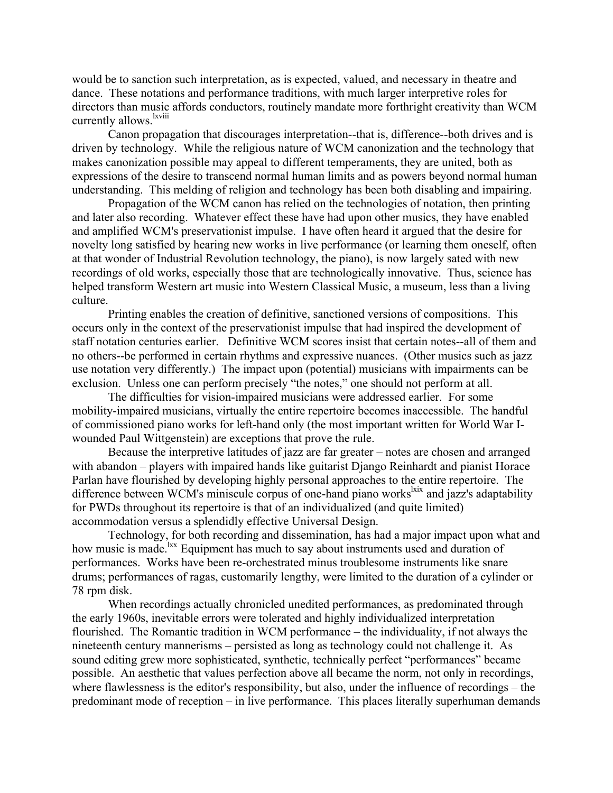would be to sanction such interpretation, as is expected, valued, and necessary in theatre and dance. These notations and performance traditions, with much larger interpretive roles for directors than music affords conductors, routinely mandate more forthright creativity than WCM currently allows.<sup>lxviii</sup>

Canon propagation that discourages interpretation--that is, difference--both drives and is driven by technology. While the religious nature of WCM canonization and the technology that makes canonization possible may appeal to different temperaments, they are united, both as expressions of the desire to transcend normal human limits and as powers beyond normal human understanding. This melding of religion and technology has been both disabling and impairing.

Propagation of the WCM canon has relied on the technologies of notation, then printing and later also recording. Whatever effect these have had upon other musics, they have enabled and amplified WCM's preservationist impulse. I have often heard it argued that the desire for novelty long satisfied by hearing new works in live performance (or learning them oneself, often at that wonder of Industrial Revolution technology, the piano), is now largely sated with new recordings of old works, especially those that are technologically innovative. Thus, science has helped transform Western art music into Western Classical Music, a museum, less than a living culture.

Printing enables the creation of definitive, sanctioned versions of compositions. This occurs only in the context of the preservationist impulse that had inspired the development of staff notation centuries earlier. Definitive WCM scores insist that certain notes--all of them and no others--be performed in certain rhythms and expressive nuances. (Other musics such as jazz use notation very differently.) The impact upon (potential) musicians with impairments can be exclusion. Unless one can perform precisely "the notes," one should not perform at all.

The difficulties for vision-impaired musicians were addressed earlier. For some mobility-impaired musicians, virtually the entire repertoire becomes inaccessible. The handful of commissioned piano works for left-hand only (the most important written for World War Iwounded Paul Wittgenstein) are exceptions that prove the rule.

Because the interpretive latitudes of jazz are far greater – notes are chosen and arranged with abandon – players with impaired hands like guitarist Django Reinhardt and pianist Horace Parlan have flourished by developing highly personal approaches to the entire repertoire. The difference between WCM's miniscule corpus of one-hand piano works<sup>lxix</sup> and jazz's adaptability for PWDs throughout its repertoire is that of an individualized (and quite limited) accommodation versus a splendidly effective Universal Design.

Technology, for both recording and dissemination, has had a major impact upon what and how music is made.<sup>1xx</sup> Equipment has much to say about instruments used and duration of performances. Works have been re-orchestrated minus troublesome instruments like snare drums; performances of ragas, customarily lengthy, were limited to the duration of a cylinder or 78 rpm disk.

When recordings actually chronicled unedited performances, as predominated through the early 1960s, inevitable errors were tolerated and highly individualized interpretation flourished. The Romantic tradition in WCM performance – the individuality, if not always the nineteenth century mannerisms – persisted as long as technology could not challenge it. As sound editing grew more sophisticated, synthetic, technically perfect "performances" became possible. An aesthetic that values perfection above all became the norm, not only in recordings, where flawlessness is the editor's responsibility, but also, under the influence of recordings – the predominant mode of reception – in live performance. This places literally superhuman demands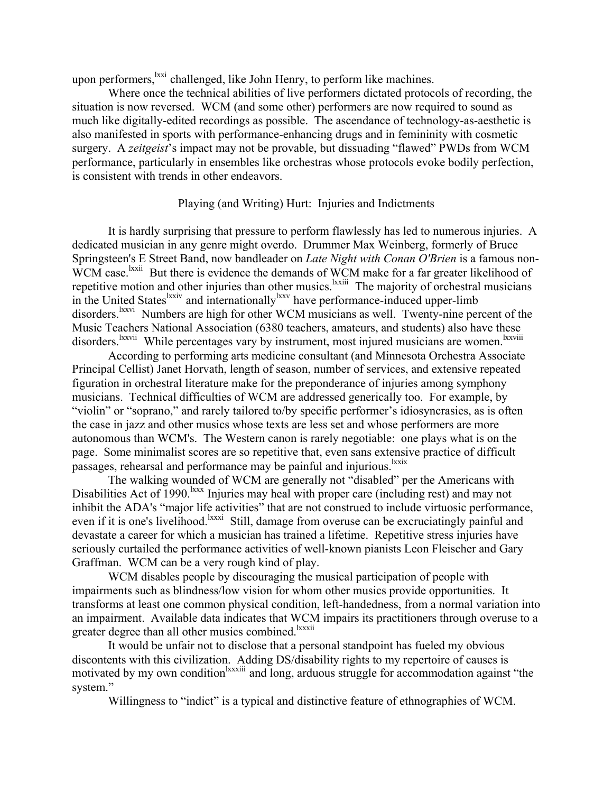upon performers, <sup>lxxi</sup> challenged, like John Henry, to perform like machines.

Where once the technical abilities of live performers dictated protocols of recording, the situation is now reversed. WCM (and some other) performers are now required to sound as much like digitally-edited recordings as possible. The ascendance of technology-as-aesthetic is also manifested in sports with performance-enhancing drugs and in femininity with cosmetic surgery. A *zeitgeist*'s impact may not be provable, but dissuading "flawed" PWDs from WCM performance, particularly in ensembles like orchestras whose protocols evoke bodily perfection, is consistent with trends in other endeavors.

### Playing (and Writing) Hurt: Injuries and Indictments

It is hardly surprising that pressure to perform flawlessly has led to numerous injuries. A dedicated musician in any genre might overdo. Drummer Max Weinberg, formerly of Bruce Springsteen's E Street Band, now bandleader on *Late Night with Conan O'Brien* is a famous non-WCM case.<sup>lxxii</sup> But there is evidence the demands of WCM make for a far greater likelihood of repetitive motion and other injuries than other musics.<sup>1xxiii</sup> The majority of orchestral musicians in the United States<sup>lxxiv</sup> and internationally<sup>lxxv</sup> have performance-induced upper-limb disorders.<sup>lxxvi</sup> Numbers are high for other WCM musicians as well. Twenty-nine percent of the Music Teachers National Association (6380 teachers, amateurs, and students) also have these disorders.<sup>lxxvii</sup> While percentages vary by instrument, most injured musicians are women.<sup>lxxviii</sup>

According to performing arts medicine consultant (and Minnesota Orchestra Associate Principal Cellist) Janet Horvath, length of season, number of services, and extensive repeated figuration in orchestral literature make for the preponderance of injuries among symphony musicians. Technical difficulties of WCM are addressed generically too. For example, by "violin" or "soprano," and rarely tailored to/by specific performer's idiosyncrasies, as is often the case in jazz and other musics whose texts are less set and whose performers are more autonomous than WCM's. The Western canon is rarely negotiable: one plays what is on the page. Some minimalist scores are so repetitive that, even sans extensive practice of difficult passages, rehearsal and performance may be painful and injurious.<sup>lxxix</sup>

The walking wounded of WCM are generally not "disabled" per the Americans with Disabilities Act of 1990.<sup>kxx</sup> Injuries may heal with proper care (including rest) and may not inhibit the ADA's "major life activities" that are not construed to include virtuosic performance, even if it is one's livelihood.<sup>lxxxi</sup> Still, damage from overuse can be excruciatingly painful and devastate a career for which a musician has trained a lifetime. Repetitive stress injuries have seriously curtailed the performance activities of well-known pianists Leon Fleischer and Gary Graffman. WCM can be a very rough kind of play.

WCM disables people by discouraging the musical participation of people with impairments such as blindness/low vision for whom other musics provide opportunities. It transforms at least one common physical condition, left-handedness, from a normal variation into an impairment. Available data indicates that WCM impairs its practitioners through overuse to a greater degree than all other musics combined.<sup>lxxxii</sup>

It would be unfair not to disclose that a personal standpoint has fueled my obvious discontents with this civilization. Adding DS/disability rights to my repertoire of causes is motivated by my own condition<sup>lxxxiii</sup> and long, arduous struggle for accommodation against "the system."

Willingness to "indict" is a typical and distinctive feature of ethnographies of WCM.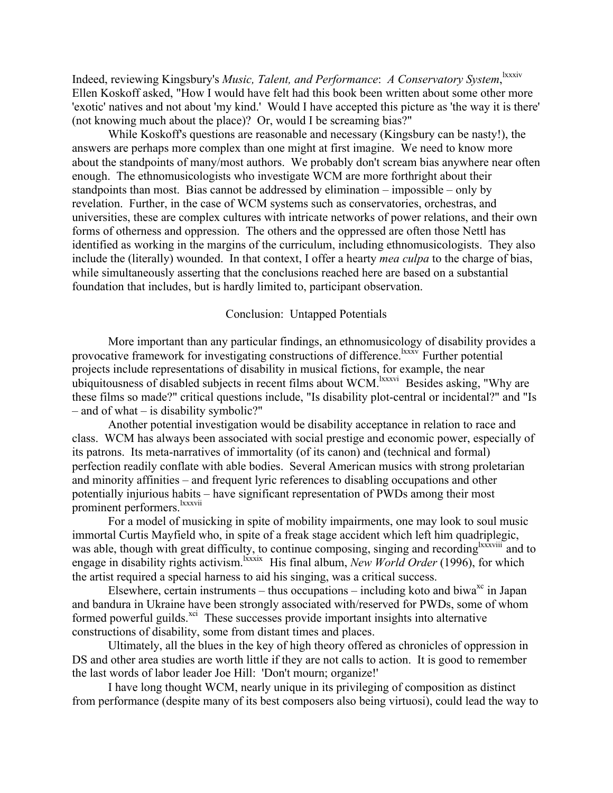Indeed, reviewing Kingsbury's *Music, Talent, and Performance*: *A Conservatory System*, lxxxiv Ellen Koskoff asked, "How I would have felt had this book been written about some other more 'exotic' natives and not about 'my kind.' Would I have accepted this picture as 'the way it is there' (not knowing much about the place)? Or, would I be screaming bias?"

While Koskoff's questions are reasonable and necessary (Kingsbury can be nasty!), the answers are perhaps more complex than one might at first imagine. We need to know more about the standpoints of many/most authors. We probably don't scream bias anywhere near often enough. The ethnomusicologists who investigate WCM are more forthright about their standpoints than most. Bias cannot be addressed by elimination – impossible – only by revelation. Further, in the case of WCM systems such as conservatories, orchestras, and universities, these are complex cultures with intricate networks of power relations, and their own forms of otherness and oppression. The others and the oppressed are often those Nettl has identified as working in the margins of the curriculum, including ethnomusicologists. They also include the (literally) wounded. In that context, I offer a hearty *mea culpa* to the charge of bias, while simultaneously asserting that the conclusions reached here are based on a substantial foundation that includes, but is hardly limited to, participant observation.

# Conclusion: Untapped Potentials

More important than any particular findings, an ethnomusicology of disability provides a provocative framework for investigating constructions of difference.<sup>lxxxv</sup> Further potential projects include representations of disability in musical fictions, for example, the near ubiquitousness of disabled subjects in recent films about WCM.<sup>Ixxxvi</sup> Besides asking, "Why are these films so made?" critical questions include, "Is disability plot-central or incidental?" and "Is – and of what – is disability symbolic?"

Another potential investigation would be disability acceptance in relation to race and class. WCM has always been associated with social prestige and economic power, especially of its patrons. Its meta-narratives of immortality (of its canon) and (technical and formal) perfection readily conflate with able bodies. Several American musics with strong proletarian and minority affinities – and frequent lyric references to disabling occupations and other potentially injurious habits – have significant representation of PWDs among their most prominent performers.<sup>lxxxvii</sup>

For a model of musicking in spite of mobility impairments, one may look to soul music immortal Curtis Mayfield who, in spite of a freak stage accident which left him quadriplegic, was able, though with great difficulty, to continue composing, singing and recording<sup>lxxxviii</sup> and to engage in disability rights activism.<sup>Ixxxix</sup> His final album, *New World Order* (1996), for which the artist required a special harness to aid his singing, was a critical success.

Elsewhere, certain instruments – thus occupations – including koto and biwa<sup>xc</sup> in Japan and bandura in Ukraine have been strongly associated with/reserved for PWDs, some of whom formed powerful guilds.<sup>xci</sup> These successes provide important insights into alternative constructions of disability, some from distant times and places.

Ultimately, all the blues in the key of high theory offered as chronicles of oppression in DS and other area studies are worth little if they are not calls to action. It is good to remember the last words of labor leader Joe Hill: 'Don't mourn; organize!'

I have long thought WCM, nearly unique in its privileging of composition as distinct from performance (despite many of its best composers also being virtuosi), could lead the way to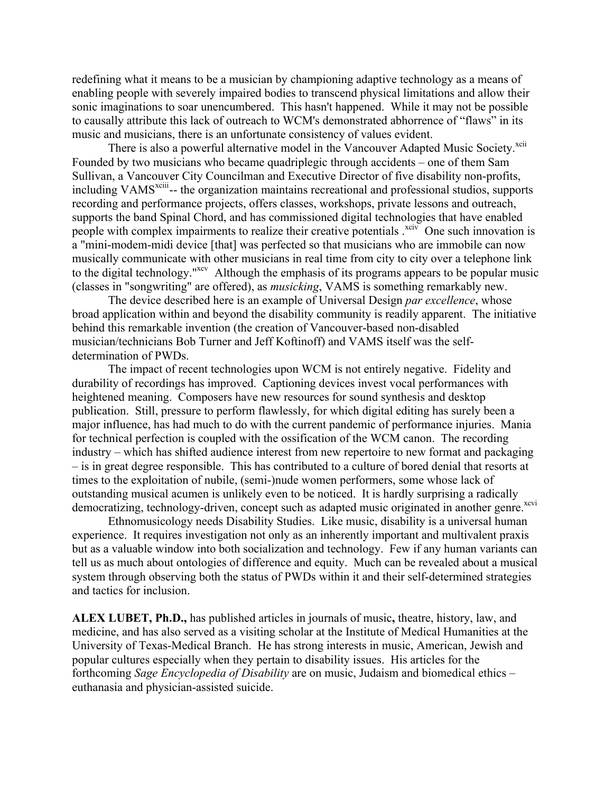redefining what it means to be a musician by championing adaptive technology as a means of enabling people with severely impaired bodies to transcend physical limitations and allow their sonic imaginations to soar unencumbered. This hasn't happened. While it may not be possible to causally attribute this lack of outreach to WCM's demonstrated abhorrence of "flaws" in its music and musicians, there is an unfortunate consistency of values evident.

There is also a powerful alternative model in the Vancouver Adapted Music Society.<sup>xcii</sup> Founded by two musicians who became quadriplegic through accidents – one of them Sam Sullivan, a Vancouver City Councilman and Executive Director of five disability non-profits, including VAMS<sup>xciii</sup>-- the organization maintains recreational and professional studios, supports recording and performance projects, offers classes, workshops, private lessons and outreach, supports the band Spinal Chord, and has commissioned digital technologies that have enabled people with complex impairments to realize their creative potentials  $\frac{xe^{ix}}{x}$  One such innovation is a "mini-modem-midi device [that] was perfected so that musicians who are immobile can now musically communicate with other musicians in real time from city to city over a telephone link to the digital technology."<sup>xcv</sup> Although the emphasis of its programs appears to be popular music (classes in "songwriting" are offered), as *musicking*, VAMS is something remarkably new.

The device described here is an example of Universal Design *par excellence*, whose broad application within and beyond the disability community is readily apparent. The initiative behind this remarkable invention (the creation of Vancouver-based non-disabled musician/technicians Bob Turner and Jeff Koftinoff) and VAMS itself was the selfdetermination of PWDs.

The impact of recent technologies upon WCM is not entirely negative. Fidelity and durability of recordings has improved. Captioning devices invest vocal performances with heightened meaning. Composers have new resources for sound synthesis and desktop publication. Still, pressure to perform flawlessly, for which digital editing has surely been a major influence, has had much to do with the current pandemic of performance injuries. Mania for technical perfection is coupled with the ossification of the WCM canon. The recording industry – which has shifted audience interest from new repertoire to new format and packaging – is in great degree responsible. This has contributed to a culture of bored denial that resorts at times to the exploitation of nubile, (semi-)nude women performers, some whose lack of outstanding musical acumen is unlikely even to be noticed. It is hardly surprising a radically democratizing, technology-driven, concept such as adapted music originated in another genre.<sup>xcvi</sup>

Ethnomusicology needs Disability Studies. Like music, disability is a universal human experience. It requires investigation not only as an inherently important and multivalent praxis but as a valuable window into both socialization and technology. Few if any human variants can tell us as much about ontologies of difference and equity. Much can be revealed about a musical system through observing both the status of PWDs within it and their self-determined strategies and tactics for inclusion.

**ALEX LUBET, Ph.D.,** has published articles in journals of music**,** theatre, history, law, and medicine, and has also served as a visiting scholar at the Institute of Medical Humanities at the University of Texas-Medical Branch. He has strong interests in music, American, Jewish and popular cultures especially when they pertain to disability issues. His articles for the forthcoming *Sage Encyclopedia of Disability* are on music, Judaism and biomedical ethics – euthanasia and physician-assisted suicide.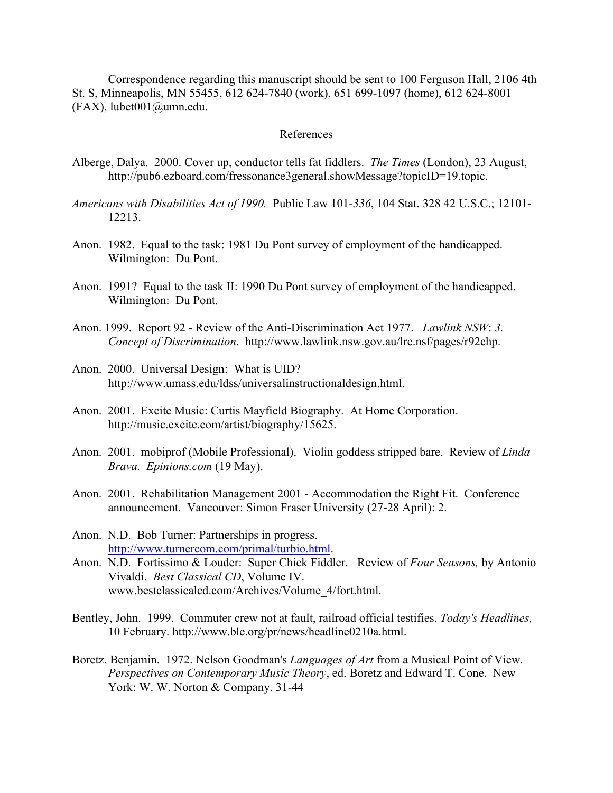Correspondence regarding this manuscript should be sent to 100 Ferguson Hall, 2106 4th St. S, Minneapolis, MN 55455, 612 624-7840 (work), 651 699-1097 (home), 612 624-8001 (FAX), lubet001@umn.edu.

### References

- Alberge, Dalya. 2000. Cover up, conductor tells fat fiddlers. *The Times* (London), 23 August, http://pub6.ezboard.com/fressonance3general.showMessage?topicID=19.topic.
- *Americans with Disabilities Act of 1990.* Public Law 101*-336*, 104 Stat. 328 42 U.S.C.; 12101- 12213.
- Anon. 1982. Equal to the task: 1981 Du Pont survey of employment of the handicapped. Wilmington: Du Pont.
- Anon. 1991? Equal to the task II: 1990 Du Pont survey of employment of the handicapped. Wilmington: Du Pont.
- Anon. 1999. Report 92 Review of the Anti-Discrimination Act 1977. *Lawlink NSW*: *3. Concept of Discrimination*. http://www.lawlink.nsw.gov.au/lrc.nsf/pages/r92chp.
- Anon. 2000. Universal Design: What is UID? http://www.umass.edu/ldss/universalinstructionaldesign.html.
- Anon. 2001. Excite Music: Curtis Mayfield Biography. At Home Corporation. http://music.excite.com/artist/biography/15625.
- Anon. 2001. mobiprof (Mobile Professional). Violin goddess stripped bare. Review of *Linda Brava. Epinions.com* (19 May).
- Anon. 2001. Rehabilitation Management 2001 Accommodation the Right Fit. Conference announcement. Vancouver: Simon Fraser University (27-28 April): 2.
- Anon. N.D. Bob Turner: Partnerships in progress. http://www.turnercom.com/primal/turbio.html.
- Anon. N.D. Fortissimo & Louder: Super Chick Fiddler. Review of *Four Seasons,* by Antonio Vivaldi. *Best Classical CD*, Volume IV. www.bestclassicalcd.com/Archives/Volume\_4/fort.html.
- Bentley, John. 1999. Commuter crew not at fault, railroad official testifies. *Today's Headlines,* 10 February. http://www.ble.org/pr/news/headline0210a.html.
- Boretz, Benjamin. 1972. Nelson Goodman's *Languages of Art* from a Musical Point of View. *Perspectives on Contemporary Music Theory*, ed. Boretz and Edward T. Cone. New York: W. W. Norton & Company. 31-44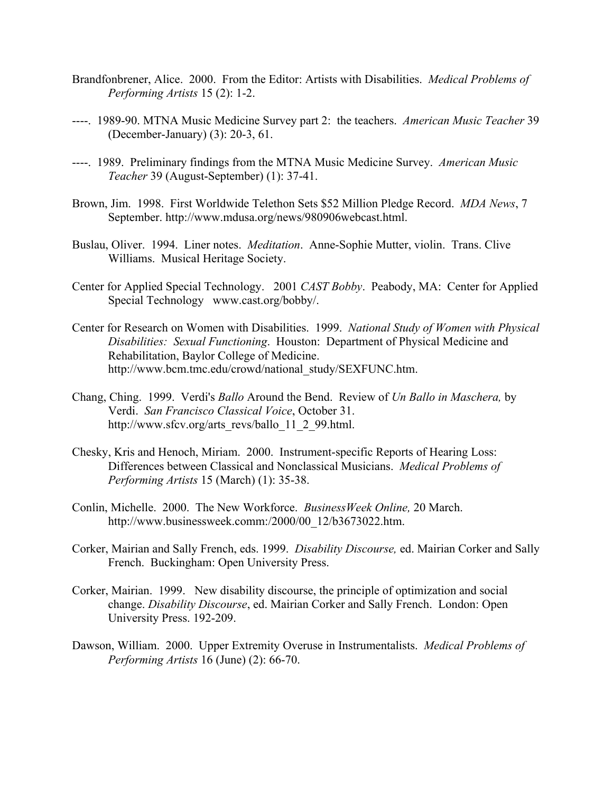- Brandfonbrener, Alice. 2000. From the Editor: Artists with Disabilities. *Medical Problems of Performing Artists* 15 (2): 1-2.
- ----. 1989-90. MTNA Music Medicine Survey part 2: the teachers. *American Music Teacher* 39 (December-January) (3): 20-3, 61.
- ----. 1989. Preliminary findings from the MTNA Music Medicine Survey. *American Music Teacher* 39 (August-September) (1): 37-41.
- Brown, Jim. 1998. First Worldwide Telethon Sets \$52 Million Pledge Record. *MDA News*, 7 September. http://www.mdusa.org/news/980906webcast.html.
- Buslau, Oliver. 1994. Liner notes. *Meditation*. Anne-Sophie Mutter, violin. Trans. Clive Williams. Musical Heritage Society.
- Center for Applied Special Technology. 2001 *CAST Bobby*. Peabody, MA: Center for Applied Special Technology www.cast.org/bobby/.
- Center for Research on Women with Disabilities. 1999. *National Study of Women with Physical Disabilities: Sexual Functioning*. Houston: Department of Physical Medicine and Rehabilitation, Baylor College of Medicine. http://www.bcm.tmc.edu/crowd/national\_study/SEXFUNC.htm.
- Chang, Ching. 1999. Verdi's *Ballo* Around the Bend. Review of *Un Ballo in Maschera,* by Verdi. *San Francisco Classical Voice*, October 31. http://www.sfcv.org/arts\_revs/ballo\_11\_2\_99.html.
- Chesky, Kris and Henoch, Miriam. 2000. Instrument-specific Reports of Hearing Loss: Differences between Classical and Nonclassical Musicians. *Medical Problems of Performing Artists* 15 (March) (1): 35-38.
- Conlin, Michelle. 2000. The New Workforce. *BusinessWeek Online,* 20 March. http://www.businessweek.comm:/2000/00\_12/b3673022.htm.
- Corker, Mairian and Sally French, eds. 1999. *Disability Discourse,* ed. Mairian Corker and Sally French. Buckingham: Open University Press.
- Corker, Mairian. 1999. New disability discourse, the principle of optimization and social change. *Disability Discourse*, ed. Mairian Corker and Sally French. London: Open University Press. 192-209.
- Dawson, William. 2000. Upper Extremity Overuse in Instrumentalists. *Medical Problems of Performing Artists* 16 (June) (2): 66-70.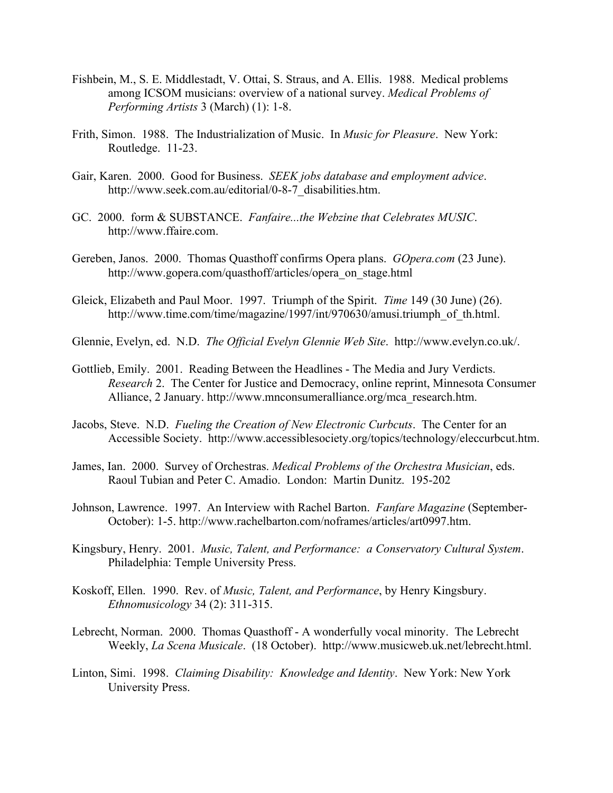- Fishbein, M., S. E. Middlestadt, V. Ottai, S. Straus, and A. Ellis. 1988. Medical problems among ICSOM musicians: overview of a national survey. *Medical Problems of Performing Artists* 3 (March) (1): 1-8.
- Frith, Simon. 1988. The Industrialization of Music. In *Music for Pleasure*. New York: Routledge. 11-23.
- Gair, Karen. 2000. Good for Business. *SEEK jobs database and employment advice*. http://www.seek.com.au/editorial/0-8-7\_disabilities.htm.
- GC. 2000. form & SUBSTANCE. *Fanfaire...the Webzine that Celebrates MUSIC*. http://www.ffaire.com.
- Gereben, Janos. 2000. Thomas Quasthoff confirms Opera plans. *GOpera.com* (23 June). http://www.gopera.com/quasthoff/articles/opera\_on\_stage.html
- Gleick, Elizabeth and Paul Moor. 1997. Triumph of the Spirit. *Time* 149 (30 June) (26). http://www.time.com/time/magazine/1997/int/970630/amusi.triumph\_of\_th.html.
- Glennie, Evelyn, ed.N.D. *The Official Evelyn Glennie Web Site*. http://www.evelyn.co.uk/.
- Gottlieb, Emily. 2001. Reading Between the Headlines The Media and Jury Verdicts. *Research* 2. The Center for Justice and Democracy, online reprint, Minnesota Consumer Alliance, 2 January. http://www.mnconsumeralliance.org/mca\_research.htm.
- Jacobs, Steve. N.D. *Fueling the Creation of New Electronic Curbcuts*. The Center for an Accessible Society. http://www.accessiblesociety.org/topics/technology/eleccurbcut.htm.
- James, Ian. 2000. Survey of Orchestras. *Medical Problems of the Orchestra Musician*, eds. Raoul Tubian and Peter C. Amadio. London: Martin Dunitz. 195-202
- Johnson, Lawrence. 1997. An Interview with Rachel Barton. *Fanfare Magazine* (September-October): 1-5. http://www.rachelbarton.com/noframes/articles/art0997.htm.
- Kingsbury, Henry. 2001. *Music, Talent, and Performance: a Conservatory Cultural System*. Philadelphia: Temple University Press.
- Koskoff, Ellen. 1990. Rev. of *Music, Talent, and Performance*, by Henry Kingsbury. *Ethnomusicology* 34 (2): 311-315.
- Lebrecht, Norman. 2000. Thomas Quasthoff A wonderfully vocal minority. The Lebrecht Weekly, *La Scena Musicale*. (18 October). http://www.musicweb.uk.net/lebrecht.html.
- Linton, Simi. 1998. *Claiming Disability: Knowledge and Identity*. New York: New York University Press.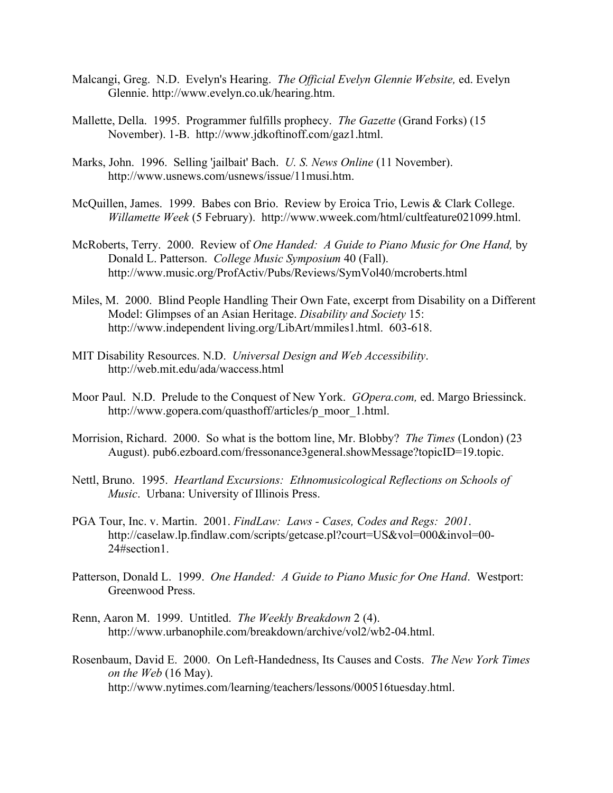- Malcangi, Greg. N.D. Evelyn's Hearing. *The Official Evelyn Glennie Website,* ed. Evelyn Glennie. http://www.evelyn.co.uk/hearing.htm.
- Mallette, Della. 1995. Programmer fulfills prophecy. *The Gazette* (Grand Forks) (15 November). 1-B. http://www.jdkoftinoff.com/gaz1.html.
- Marks, John. 1996. Selling 'jailbait' Bach. *U. S. News Online* (11 November). http://www.usnews.com/usnews/issue/11musi.htm.
- McQuillen, James. 1999. Babes con Brio. Review by Eroica Trio, Lewis & Clark College. *Willamette Week* (5 February). http://www.wweek.com/html/cultfeature021099.html.
- McRoberts, Terry. 2000. Review of *One Handed: A Guide to Piano Music for One Hand,* by Donald L. Patterson. *College Music Symposium* 40 (Fall). http://www.music.org/ProfActiv/Pubs/Reviews/SymVol40/mcroberts.html
- Miles, M. 2000. Blind People Handling Their Own Fate, excerpt from Disability on a Different Model: Glimpses of an Asian Heritage. *Disability and Society* 15: http://www.independent living.org/LibArt/mmiles1.html. 603-618.
- MIT Disability Resources. N.D. *Universal Design and Web Accessibility*. http://web.mit.edu/ada/waccess.html
- Moor Paul. N.D. Prelude to the Conquest of New York. *GOpera.com,* ed. Margo Briessinck. http://www.gopera.com/quasthoff/articles/p\_moor\_1.html.
- Morrision, Richard. 2000. So what is the bottom line, Mr. Blobby? *The Times* (London) (23 August). pub6.ezboard.com/fressonance3general.showMessage?topicID=19.topic.
- Nettl, Bruno. 1995. *Heartland Excursions: Ethnomusicological Reflections on Schools of Music*. Urbana: University of Illinois Press.
- PGA Tour, Inc. v. Martin. 2001. *FindLaw: Laws Cases, Codes and Regs: 2001*. http://caselaw.lp.findlaw.com/scripts/getcase.pl?court=US&vol=000&invol=00- 24#section1.
- Patterson, Donald L. 1999. *One Handed: A Guide to Piano Music for One Hand*. Westport: Greenwood Press.
- Renn, Aaron M. 1999. Untitled. *The Weekly Breakdown* 2 (4). http://www.urbanophile.com/breakdown/archive/vol2/wb2-04.html.
- Rosenbaum, David E. 2000. On Left-Handedness, Its Causes and Costs. *The New York Times on the Web* (16 May). http://www.nytimes.com/learning/teachers/lessons/000516tuesday.html.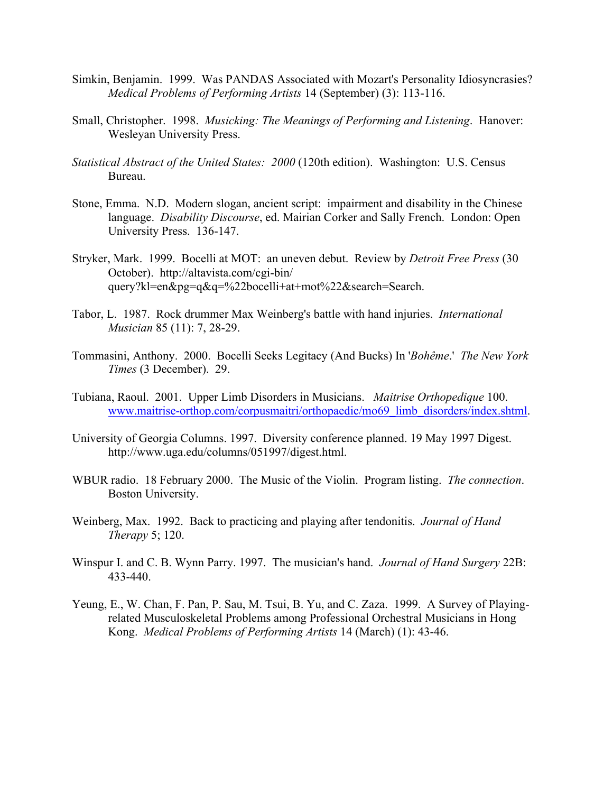- Simkin, Benjamin. 1999. Was PANDAS Associated with Mozart's Personality Idiosyncrasies? *Medical Problems of Performing Artists* 14 (September) (3): 113-116.
- Small, Christopher. 1998. *Musicking: The Meanings of Performing and Listening*. Hanover: Wesleyan University Press.
- *Statistical Abstract of the United States: 2000* (120th edition). Washington: U.S. Census Bureau.
- Stone, Emma. N.D. Modern slogan, ancient script: impairment and disability in the Chinese language. *Disability Discourse*, ed. Mairian Corker and Sally French. London: Open University Press. 136-147.
- Stryker, Mark. 1999. Bocelli at MOT: an uneven debut. Review by *Detroit Free Press* (30 October). http://altavista.com/cgi-bin/ query?kl=en&pg=q&q=%22bocelli+at+mot%22&search=Search.
- Tabor, L. 1987. Rock drummer Max Weinberg's battle with hand injuries. *International Musician* 85 (11): 7, 28-29.
- Tommasini, Anthony. 2000. Bocelli Seeks Legitacy (And Bucks) In '*Bohême*.' *The New York Times* (3 December). 29.
- Tubiana, Raoul. 2001. Upper Limb Disorders in Musicians. *Maitrise Orthopedique* 100. www.maitrise-orthop.com/corpusmaitri/orthopaedic/mo69\_limb\_disorders/index.shtml.
- University of Georgia Columns. 1997. Diversity conference planned. 19 May 1997 Digest. http://www.uga.edu/columns/051997/digest.html.
- WBUR radio. 18 February 2000. The Music of the Violin. Program listing. *The connection*. Boston University.
- Weinberg, Max. 1992. Back to practicing and playing after tendonitis. *Journal of Hand Therapy* 5; 120.
- Winspur I. and C. B. Wynn Parry. 1997. The musician's hand. *Journal of Hand Surgery* 22B: 433-440.
- Yeung, E., W. Chan, F. Pan, P. Sau, M. Tsui, B. Yu, and C. Zaza. 1999. A Survey of Playingrelated Musculoskeletal Problems among Professional Orchestral Musicians in Hong Kong. *Medical Problems of Performing Artists* 14 (March) (1): 43-46.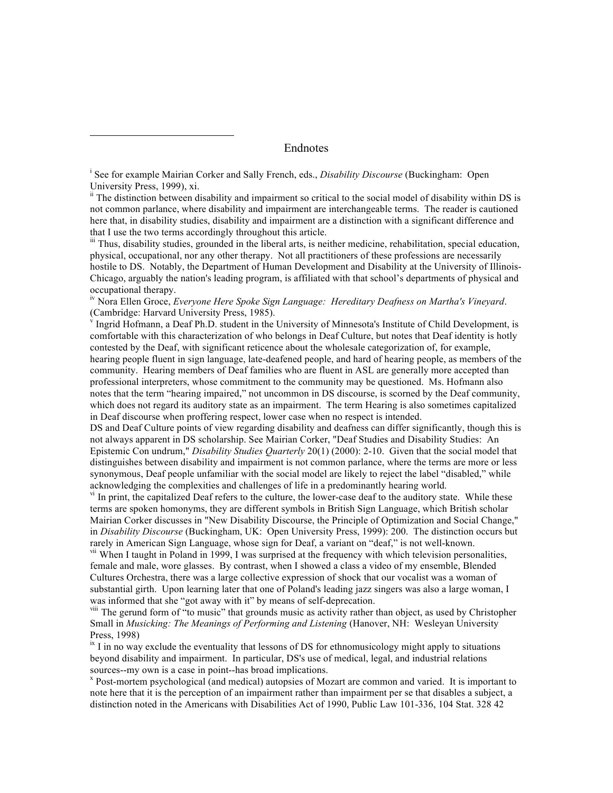Endnotes

<sup>i</sup> See for example Mairian Corker and Sally French, eds., *Disability Discourse* (Buckingham: Open University Press, 1999), xi.

 $\overline{a}$ 

<sup>ii</sup> The distinction between disability and impairment so critical to the social model of disability within DS is not common parlance, where disability and impairment are interchangeable terms. The reader is cautioned here that, in disability studies, disability and impairment are a distinction with a significant difference and that I use the two terms accordingly throughout this article.

iii Thus, disability studies, grounded in the liberal arts, is neither medicine, rehabilitation, special education, physical, occupational, nor any other therapy. Not all practitioners of these professions are necessarily hostile to DS. Notably, the Department of Human Development and Disability at the University of Illinois-Chicago, arguably the nation's leading program, is affiliated with that school's departments of physical and occupational therapy.

iv Nora Ellen Groce, *Everyone Here Spoke Sign Language: Hereditary Deafness on Martha's Vineyard*. (Cambridge: Harvard University Press, 1985).

 $V$ Ingrid Hofmann, a Deaf Ph.D. student in the University of Minnesota's Institute of Child Development, is comfortable with this characterization of who belongs in Deaf Culture, but notes that Deaf identity is hotly contested by the Deaf, with significant reticence about the wholesale categorization of, for example, hearing people fluent in sign language, late-deafened people, and hard of hearing people, as members of the community. Hearing members of Deaf families who are fluent in ASL are generally more accepted than professional interpreters, whose commitment to the community may be questioned. Ms. Hofmann also notes that the term "hearing impaired," not uncommon in DS discourse, is scorned by the Deaf community, which does not regard its auditory state as an impairment. The term Hearing is also sometimes capitalized in Deaf discourse when proffering respect, lower case when no respect is intended.

DS and Deaf Culture points of view regarding disability and deafness can differ significantly, though this is not always apparent in DS scholarship. See Mairian Corker, "Deaf Studies and Disability Studies: An Epistemic Con undrum," *Disability Studies Quarterly* 20(1) (2000): 2-10. Given that the social model that distinguishes between disability and impairment is not common parlance, where the terms are more or less synonymous, Deaf people unfamiliar with the social model are likely to reject the label "disabled," while acknowledging the complexities and challenges of life in a predominantly hearing world.

<sup>vi</sup> In print, the capitalized Deaf refers to the culture, the lower-case deaf to the auditory state. While these terms are spoken homonyms, they are different symbols in British Sign Language, which British scholar Mairian Corker discusses in "New Disability Discourse, the Principle of Optimization and Social Change," in *Disability Discourse* (Buckingham, UK: Open University Press, 1999): 200. The distinction occurs but rarely in American Sign Language, whose sign for Deaf, a variant on "deaf," is not well-known.

<sup>vii</sup> When I taught in Poland in 1999, I was surprised at the frequency with which television personalities, female and male, wore glasses. By contrast, when I showed a class a video of my ensemble, Blended Cultures Orchestra, there was a large collective expression of shock that our vocalist was a woman of substantial girth. Upon learning later that one of Poland's leading jazz singers was also a large woman, I was informed that she "got away with it" by means of self-deprecation.

<sup>viii</sup> The gerund form of "to music" that grounds music as activity rather than object, as used by Christopher Small in *Musicking: The Meanings of Performing and Listening* (Hanover, NH: Wesleyan University Press, 1998)

 $\frac{1}{x}$  I in no way exclude the eventuality that lessons of DS for ethnomusicology might apply to situations beyond disability and impairment. In particular, DS's use of medical, legal, and industrial relations sources--my own is a case in point--has broad implications.

 Post-mortem psychological (and medical) autopsies of Mozart are common and varied. It is important to note here that it is the perception of an impairment rather than impairment per se that disables a subject, a distinction noted in the Americans with Disabilities Act of 1990, Public Law 101-336, 104 Stat. 328 42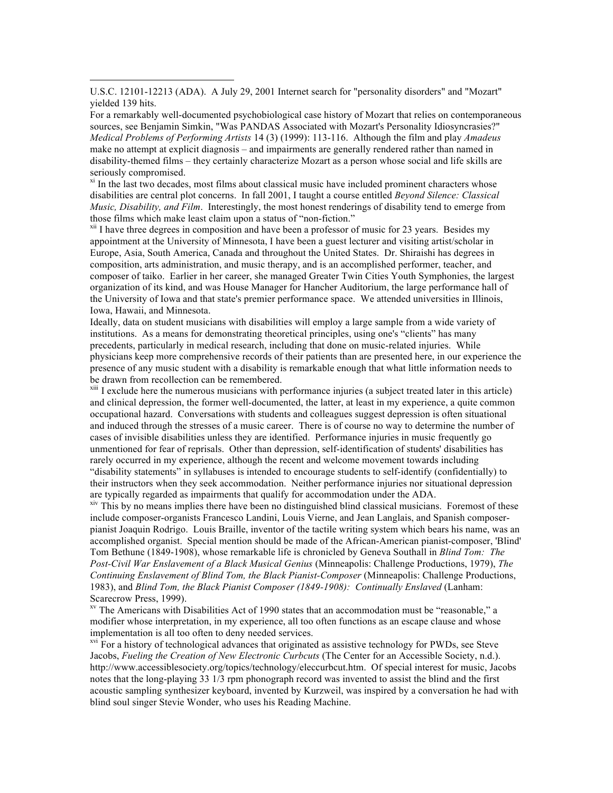U.S.C. 12101-12213 (ADA). A July 29, 2001 Internet search for "personality disorders" and "Mozart" yielded 139 hits.

For a remarkably well-documented psychobiological case history of Mozart that relies on contemporaneous sources, see Benjamin Simkin, "Was PANDAS Associated with Mozart's Personality Idiosyncrasies?" *Medical Problems of Performing Artists* 14 (3) (1999): 113-116. Although the film and play *Amadeus* make no attempt at explicit diagnosis – and impairments are generally rendered rather than named in disability-themed films – they certainly characterize Mozart as a person whose social and life skills are seriously compromised.

 $x_i$  In the last two decades, most films about classical music have included prominent characters whose disabilities are central plot concerns. In fall 2001, I taught a course entitled *Beyond Silence: Classical Music, Disability, and Film*. Interestingly, the most honest renderings of disability tend to emerge from those films which make least claim upon a status of "non-fiction."<br><sup>xii</sup> I have three degrees in composition and have been a professor of music for 23 years. Besides my

appointment at the University of Minnesota, I have been a guest lecturer and visiting artist/scholar in Europe, Asia, South America, Canada and throughout the United States. Dr. Shiraishi has degrees in composition, arts administration, and music therapy, and is an accomplished performer, teacher, and composer of taiko. Earlier in her career, she managed Greater Twin Cities Youth Symphonies, the largest organization of its kind, and was House Manager for Hancher Auditorium, the large performance hall of the University of Iowa and that state's premier performance space. We attended universities in Illinois, Iowa, Hawaii, and Minnesota.

Ideally, data on student musicians with disabilities will employ a large sample from a wide variety of institutions. As a means for demonstrating theoretical principles, using one's "clients" has many precedents, particularly in medical research, including that done on music-related injuries. While physicians keep more comprehensive records of their patients than are presented here, in our experience the presence of any music student with a disability is remarkable enough that what little information needs to be drawn from recollection can be remembered.

<sup>xiii</sup> I exclude here the numerous musicians with performance injuries (a subject treated later in this article) and clinical depression, the former well-documented, the latter, at least in my experience, a quite common occupational hazard. Conversations with students and colleagues suggest depression is often situational and induced through the stresses of a music career. There is of course no way to determine the number of cases of invisible disabilities unless they are identified. Performance injuries in music frequently go unmentioned for fear of reprisals. Other than depression, self-identification of students' disabilities has rarely occurred in my experience, although the recent and welcome movement towards including "disability statements" in syllabuses is intended to encourage students to self-identify (confidentially) to their instructors when they seek accommodation. Neither performance injuries nor situational depression are typically regarded as impairments that qualify for accommodation under the ADA.

 $\frac{x}{x}$  This by no means implies there have been no distinguished blind classical musicians. Foremost of these include composer-organists Francesco Landini, Louis Vierne, and Jean Langlais, and Spanish composerpianist Joaquin Rodrigo. Louis Braille, inventor of the tactile writing system which bears his name, was an accomplished organist. Special mention should be made of the African-American pianist-composer, 'Blind' Tom Bethune (1849-1908), whose remarkable life is chronicled by Geneva Southall in *Blind Tom: The Post-Civil War Enslavement of a Black Musical Genius* (Minneapolis: Challenge Productions, 1979), *The Continuing Enslavement of Blind Tom, the Black Pianist-Composer* (Minneapolis: Challenge Productions, 1983), and *Blind Tom, the Black Pianist Composer (1849-1908): Continually Enslaved* (Lanham: Scarecrow Press, 1999).

xv The Americans with Disabilities Act of 1990 states that an accommodation must be "reasonable," a modifier whose interpretation, in my experience, all too often functions as an escape clause and whose implementation is all too often to deny needed services.

<sup>xvi</sup> For a history of technological advances that originated as assistive technology for PWDs, see Steve Jacobs, *Fueling the Creation of New Electronic Curbcuts* (The Center for an Accessible Society, n.d.). http://www.accessiblesociety.org/topics/technology/eleccurbcut.htm. Of special interest for music, Jacobs notes that the long-playing 33 1/3 rpm phonograph record was invented to assist the blind and the first acoustic sampling synthesizer keyboard, invented by Kurzweil, was inspired by a conversation he had with blind soul singer Stevie Wonder, who uses his Reading Machine.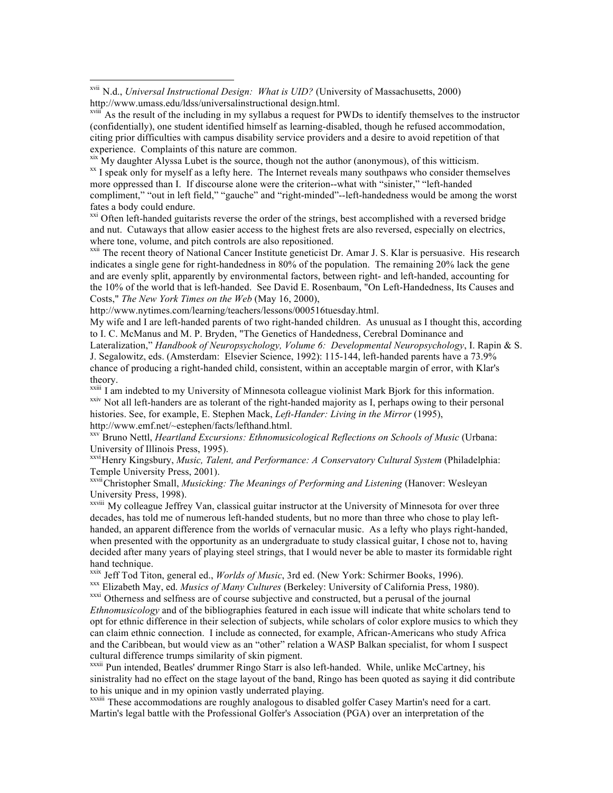$\frac{x}{x}$  My daughter Alyssa Lubet is the source, though not the author (anonymous), of this witticism.<br> $\frac{x}{x}$  I speak only for myself as a lefty here. The Internet reveals many southpaws who consider themselves more oppressed than I. If discourse alone were the criterion--what with "sinister," "left-handed compliment," "out in left field," "gauche" and "right-minded"--left-handedness would be among the worst fates a body could endure.

 $\frac{xxi}{x}$  Often left-handed guitarists reverse the order of the strings, best accomplished with a reversed bridge and nut. Cutaways that allow easier access to the highest frets are also reversed, especially on electrics, where tone, volume, and pitch controls are also repositioned.

<sup>xxii</sup> The recent theory of National Cancer Institute geneticist Dr. Amar J. S. Klar is persuasive. His research indicates a single gene for right-handedness in 80% of the population. The remaining 20% lack the gene and are evenly split, apparently by environmental factors, between right- and left-handed, accounting for the 10% of the world that is left-handed. See David E. Rosenbaum, "On Left-Handedness, Its Causes and Costs," *The New York Times on the Web* (May 16, 2000),

http://www.nytimes.com/learning/teachers/lessons/000516tuesday.html.

My wife and I are left-handed parents of two right-handed children. As unusual as I thought this, according to I. C. McManus and M. P. Bryden, "The Genetics of Handedness, Cerebral Dominance and Lateralization," *Handbook of Neuropsychology, Volume 6: Developmental Neuropsychology*, I. Rapin & S. J. Segalowitz, eds. (Amsterdam: Elsevier Science, 1992): 115-144, left-handed parents have a 73.9%

chance of producing a right-handed child, consistent, within an acceptable margin of error, with Klar's theory.

<sup>xxiii</sup> I am indebted to my University of Minnesota colleague violinist Mark Bjork for this information. xxiv Not all left-handers are as tolerant of the right-handed majority as I, perhaps owing to their personal histories. See, for example, E. Stephen Mack, *Left-Hander: Living in the Mirror* (1995), http://www.emf.net/~estephen/facts/lefthand.html.

xxv Bruno Nettl, *Heartland Excursions: Ethnomusicological Reflections on Schools of Music* (Urbana: University of Illinois Press, 1995).

xxviHenry Kingsbury, *Music, Talent, and Performance: A Conservatory Cultural System* (Philadelphia: Temple University Press, 2001).

xxviiChristopher Small, *Musicking: The Meanings of Performing and Listening* (Hanover: Wesleyan University Press, 1998).

xxviii My colleague Jeffrey Van, classical guitar instructor at the University of Minnesota for over three decades, has told me of numerous left-handed students, but no more than three who chose to play lefthanded, an apparent difference from the worlds of vernacular music. As a lefty who plays right-handed, when presented with the opportunity as an undergraduate to study classical guitar, I chose not to, having decided after many years of playing steel strings, that I would never be able to master its formidable right hand technique.

<sup>xxix</sup> Jeff Tod Titon, general ed., *Worlds of Music*, 3rd ed. (New York: Schirmer Books, 1996).<br><sup>xxx</sup> Elizabeth May, ed. *Musics of Many Cultures* (Berkeley: University of California Press, 1980).<br><sup>xxxi</sup> Otherness and se

*Ethnomusicology* and of the bibliographies featured in each issue will indicate that white scholars tend to opt for ethnic difference in their selection of subjects, while scholars of color explore musics to which they can claim ethnic connection. I include as connected, for example, African-Americans who study Africa and the Caribbean, but would view as an "other" relation a WASP Balkan specialist, for whom I suspect cultural difference trumps similarity of skin pigment.

xxxii Pun intended, Beatles' drummer Ringo Starr is also left-handed. While, unlike McCartney, his sinistrality had no effect on the stage layout of the band, Ringo has been quoted as saying it did contribute to his unique and in my opinion vastly underrated playing.

xxxiii These accommodations are roughly analogous to disabled golfer Casey Martin's need for a cart. Martin's legal battle with the Professional Golfer's Association (PGA) over an interpretation of the

xvii N.d., *Universal Instructional Design: What is UID?* (University of Massachusetts, 2000) http://www.umass.edu/ldss/universalinstructional design.html.

 $x^{\text{virt}}$  As the result of the including in my syllabus a request for PWDs to identify themselves to the instructor (confidentially), one student identified himself as learning-disabled, though he refused accommodation, citing prior difficulties with campus disability service providers and a desire to avoid repetition of that experience. Complaints of this nature are common.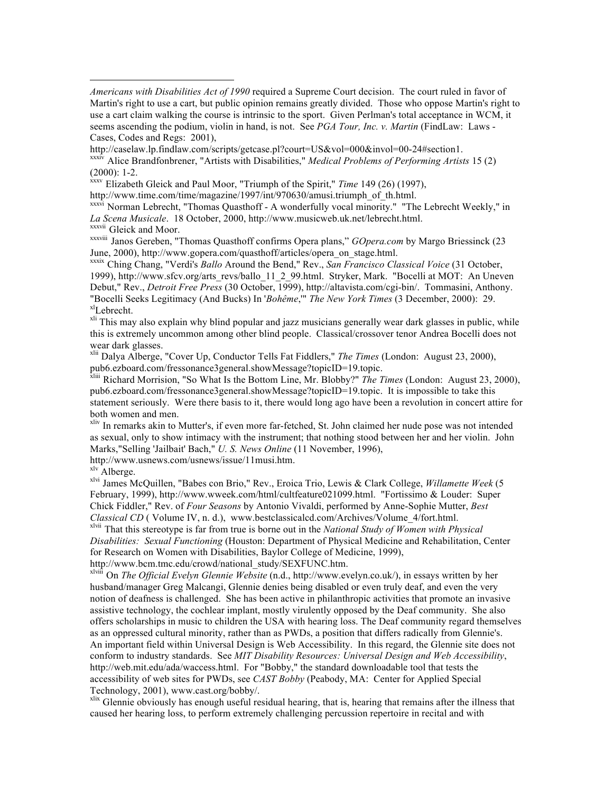*Americans with Disabilities Act of 1990* required a Supreme Court decision. The court ruled in favor of Martin's right to use a cart, but public opinion remains greatly divided. Those who oppose Martin's right to use a cart claim walking the course is intrinsic to the sport. Given Perlman's total acceptance in WCM, it seems ascending the podium, violin in hand, is not. See *PGA Tour, Inc. v. Martin* (FindLaw: Laws - Cases, Codes and Regs: 2001),

http://caselaw.lp.findlaw.com/scripts/getcase.pl?court=US&vol=000&invol=00-24#section1.

xxxiv Alice Brandfonbrener, "Artists with Disabilities," *Medical Problems of Performing Artists* 15 (2) (2000): 1-2.

 $\frac{x}{x}$  Elizabeth Gleick and Paul Moor, "Triumph of the Spirit," *Time* 149 (26) (1997),

http://www.time.com/time/magazine/1997/int/970630/amusi.triumph\_of\_th.html.

xxxvi Norman Lebrecht, "Thomas Quasthoff - A wonderfully vocal minority." "The Lebrecht Weekly," in *La Scena Musicale*. 18 October, 2000, http://www.musicweb.uk.net/lebrecht.html. xxxvii Gleick and Moor.

xxxviii Janos Gereben, "Thomas Quasthoff confirms Opera plans," *GOpera.com* by Margo Briessinck (23 June, 2000), http://www.gopera.com/quasthoff/articles/opera\_on\_stage.html. xxxix Ching Chang, "Verdi's *Ballo* Around the Bend," Rev., *San Francisco Classical Voice* (31 October,

1999), http://www.sfcv.org/arts\_revs/ballo\_11\_2\_99.html. Stryker, Mark. "Bocelli at MOT: An Uneven Debut," Rev., *Detroit Free Press* (30 October, 1999), http://altavista.com/cgi-bin/. Tommasini, Anthony. "Bocelli Seeks Legitimacy (And Bucks) In '*Bohême*," *The New York Times* (3 December, 2000): 29. <sup>xl</sup>Lebrecht.

<sup>xli</sup> This may also explain why blind popular and jazz musicians generally wear dark glasses in public, while this is extremely uncommon among other blind people. Classical/crossover tenor Andrea Bocelli does not wear dark glasses.

xlii Dalya Alberge, "Cover Up, Conductor Tells Fat Fiddlers," *The Times* (London: August 23, 2000), pub6.ezboard.com/fressonance3general.showMessage?topicID=19.topic.

xliii Richard Morrision, "So What Is the Bottom Line, Mr. Blobby?" *The Times* (London: August 23, 2000), pub6.ezboard.com/fressonance3general.showMessage?topicID=19.topic. It is impossible to take this statement seriously. Were there basis to it, there would long ago have been a revolution in concert attire for both women and men.

xliv In remarks akin to Mutter's, if even more far-fetched, St. John claimed her nude pose was not intended as sexual, only to show intimacy with the instrument; that nothing stood between her and her violin. John Marks,"Selling 'Jailbait' Bach," *U. S. News Online* (11 November, 1996),

http://www.usnews.com/usnews/issue/11musi.htm.

xlv Alberge.

 $\overline{a}$ 

xlvi James McQuillen, "Babes con Brio," Rev., Eroica Trio, Lewis & Clark College, *Willamette Week* (5 February, 1999), http://www.wweek.com/html/cultfeature021099.html. "Fortissimo & Louder: Super Chick Fiddler," Rev. of *Four Seasons* by Antonio Vivaldi, performed by Anne-Sophie Mutter, *Best Classical CD* ( Volume IV, n. d.), www.bestclassicalcd.com/Archives/Volume\_4/fort.html.

xlvii That this stereotype is far from true is borne out in the *National Study of Women with Physical Disabilities: Sexual Functioning* (Houston: Department of Physical Medicine and Rehabilitation, Center for Research on Women with Disabilities, Baylor College of Medicine, 1999),

http://www.bcm.tmc.edu/crowd/national\_study/SEXFUNC.htm.

xlviii On *The Official Evelyn Glennie Website* (n.d., http://www.evelyn.co.uk/), in essays written by her husband/manager Greg Malcangi, Glennie denies being disabled or even truly deaf, and even the very notion of deafness is challenged. She has been active in philanthropic activities that promote an invasive assistive technology, the cochlear implant, mostly virulently opposed by the Deaf community. She also offers scholarships in music to children the USA with hearing loss. The Deaf community regard themselves as an oppressed cultural minority, rather than as PWDs, a position that differs radically from Glennie's. An important field within Universal Design is Web Accessibility. In this regard, the Glennie site does not conform to industry standards. See *MIT Disability Resources: Universal Design and Web Accessibility*, http://web.mit.edu/ada/waccess.html. For "Bobby," the standard downloadable tool that tests the accessibility of web sites for PWDs, see *CAST Bobby* (Peabody, MA: Center for Applied Special Technology, 2001), www.cast.org/bobby/.

<sup>xlix</sup> Glennie obviously has enough useful residual hearing, that is, hearing that remains after the illness that caused her hearing loss, to perform extremely challenging percussion repertoire in recital and with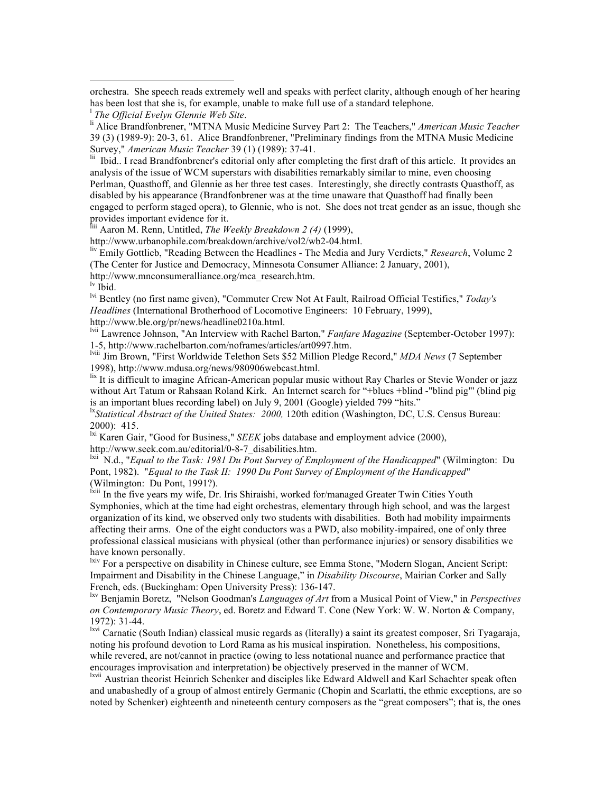orchestra. She speech reads extremely well and speaks with perfect clarity, although enough of her hearing has been lost that she is, for example, unable to make full use of a standard telephone.

<sup>Iii</sup> Ibid.. I read Brandfonbrener's editorial only after completing the first draft of this article. It provides an analysis of the issue of WCM superstars with disabilities remarkably similar to mine, even choosing Perlman, Quasthoff, and Glennie as her three test cases. Interestingly, she directly contrasts Quasthoff, as disabled by his appearance (Brandfonbrener was at the time unaware that Quasthoff had finally been engaged to perform staged opera), to Glennie, who is not. She does not treat gender as an issue, though she provides important evidence for it.

liii Aaron M. Renn, Untitled, *The Weekly Breakdown 2 (4)* (1999),

http://www.urbanophile.com/breakdown/archive/vol2/wb2-04.html.

liv Emily Gottlieb, "Reading Between the Headlines - The Media and Jury Verdicts," *Research*, Volume 2 (The Center for Justice and Democracy, Minnesota Consumer Alliance: 2 January, 2001),

http://www.mnconsumeralliance.org/mca\_research.htm.

lv Ibid.

lvi Bentley (no first name given), "Commuter Crew Not At Fault, Railroad Official Testifies," *Today's Headlines* (International Brotherhood of Locomotive Engineers: 10 February, 1999), http://www.ble.org/pr/news/headline0210a.html.

lvii Lawrence Johnson, "An Interview with Rachel Barton," *Fanfare Magazine* (September-October 1997):

1-5, http://www.rachelbarton.com/noframes/articles/art0997.htm.

lviii Jim Brown, "First Worldwide Telethon Sets \$52 Million Pledge Record," *MDA News* (7 September 1998), http://www.mdusa.org/news/980906webcast.html.

 $\frac{1}{x}$  It is difficult to imagine African-American popular music without Ray Charles or Stevie Wonder or jazz without Art Tatum or Rahsaan Roland Kirk. An Internet search for "+blues +blind -"blind pig"' (blind pig is an important blues recording label) on July 9, 2001 (Google) yielded 799 "hits."

<sup>1x</sup>Statistical Abstract of the United States: 2000, 120th edition (Washington, DC, U.S. Census Bureau:

2000): 415.<br><sup>lxi</sup> Karen Gair, "Good for Business," *SEEK* jobs database and employment advice (2000), http://www.seek.com.au/editorial/0-8-7 disabilities.htm.

<sup>bxii</sup> N.d., "*Equal to the Task: 1981 Du Pont Survey of Employment of the Handicapped*" (Wilmington: Du Pont, 1982). "*Equal to the Task II: 1990 Du Pont Survey of Employment of the Handicapped*" (Wilmington: Du Pont, 1991?).

lxiii In the five years my wife, Dr. Iris Shiraishi, worked for/managed Greater Twin Cities Youth Symphonies, which at the time had eight orchestras, elementary through high school, and was the largest organization of its kind, we observed only two students with disabilities. Both had mobility impairments affecting their arms. One of the eight conductors was a PWD, also mobility-impaired, one of only three professional classical musicians with physical (other than performance injuries) or sensory disabilities we have known personally.

lxiv For a perspective on disability in Chinese culture, see Emma Stone, "Modern Slogan, Ancient Script: Impairment and Disability in the Chinese Language," in *Disability Discourse*, Mairian Corker and Sally French, eds. (Buckingham: Open University Press): 136-147.

lxv Benjamin Boretz, "Nelson Goodman's *Languages of Art* from a Musical Point of View," in *Perspectives on Contemporary Music Theory*, ed. Boretz and Edward T. Cone (New York: W. W. Norton & Company, 1972): 31-44.

<sup>lxvi</sup> Carnatic (South Indian) classical music regards as (literally) a saint its greatest composer, Sri Tyagaraja, noting his profound devotion to Lord Rama as his musical inspiration. Nonetheless, his compositions, while revered, are not/cannot in practice (owing to less notational nuance and performance practice that encourages improvisation and interpretation) be objectively preserved in the manner of WCM.

<sup>lxvii</sup> Austrian theorist Heinrich Schenker and disciples like Edward Aldwell and Karl Schachter speak often and unabashedly of a group of almost entirely Germanic (Chopin and Scarlatti, the ethnic exceptions, are so noted by Schenker) eighteenth and nineteenth century composers as the "great composers"; that is, the ones

<sup>&</sup>lt;sup>1</sup> The Official Evelyn Glennie Web Site.

*The Official Evelyn Glennie Web Site*. li Alice Brandfonbrener, "MTNA Music Medicine Survey Part 2: The Teachers," *American Music Teacher* 39 (3) (1989-9): 20-3, 61. Alice Brandfonbrener, "Preliminary findings from the MTNA Music Medicine Survey," *American Music Teacher* 39 (1) (1989): 37-41.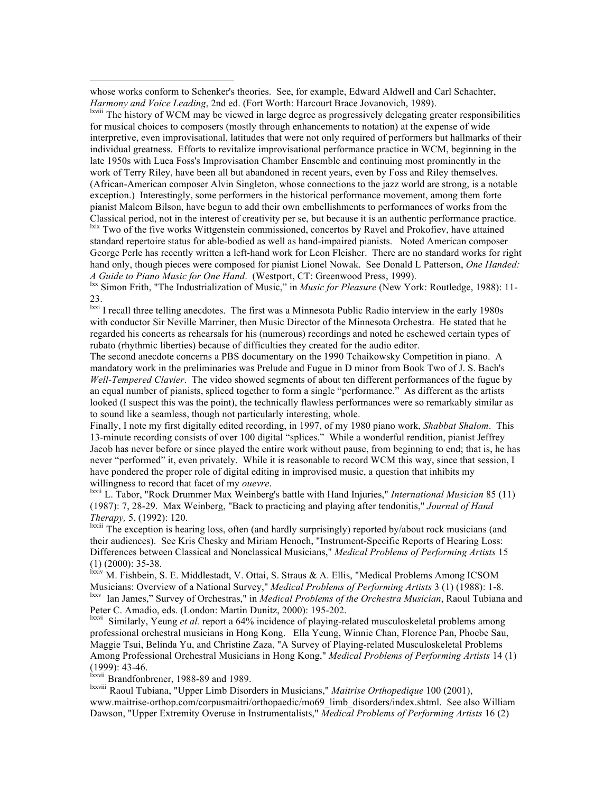whose works conform to Schenker's theories. See, for example, Edward Aldwell and Carl Schachter, *Harmony and Voice Leading*, 2nd ed. (Fort Worth: Harcourt Brace Jovanovich, 1989).

<sup>lxviii</sup> The history of WCM may be viewed in large degree as progressively delegating greater responsibilities for musical choices to composers (mostly through enhancements to notation) at the expense of wide interpretive, even improvisational, latitudes that were not only required of performers but hallmarks of their individual greatness. Efforts to revitalize improvisational performance practice in WCM, beginning in the late 1950s with Luca Foss's Improvisation Chamber Ensemble and continuing most prominently in the work of Terry Riley, have been all but abandoned in recent years, even by Foss and Riley themselves. (African-American composer Alvin Singleton, whose connections to the jazz world are strong, is a notable exception.) Interestingly, some performers in the historical performance movement, among them forte pianist Malcom Bilson, have begun to add their own embellishments to performances of works from the Classical period, not in the interest of creativity per se, but because it is an authentic performance practice. lxix Two of the five works Wittgenstein commissioned, concertos by Ravel and Prokofiev, have attained

standard repertoire status for able-bodied as well as hand-impaired pianists. Noted American composer George Perle has recently written a left-hand work for Leon Fleisher. There are no standard works for right hand only, though pieces were composed for pianist Lionel Nowak. See Donald L Patterson, *One Handed: A Guide to Piano Music for One Hand.* (Westport, CT: Greenwood Press, 1999).

<sup>Ixx</sup> Simon Frith, "The Industrialization of Music," in *Music for Pleasure* (New York: Routledge, 1988): 11-23.

<sup>Ixxi</sup> I recall three telling anecdotes. The first was a Minnesota Public Radio interview in the early 1980s with conductor Sir Neville Marriner, then Music Director of the Minnesota Orchestra. He stated that he regarded his concerts as rehearsals for his (numerous) recordings and noted he eschewed certain types of rubato (rhythmic liberties) because of difficulties they created for the audio editor.

The second anecdote concerns a PBS documentary on the 1990 Tchaikowsky Competition in piano. A mandatory work in the preliminaries was Prelude and Fugue in D minor from Book Two of J. S. Bach's *Well-Tempered Clavier*. The video showed segments of about ten different performances of the fugue by an equal number of pianists, spliced together to form a single "performance." As different as the artists looked (I suspect this was the point), the technically flawless performances were so remarkably similar as to sound like a seamless, though not particularly interesting, whole.

Finally, I note my first digitally edited recording, in 1997, of my 1980 piano work, *Shabbat Shalom*. This 13-minute recording consists of over 100 digital "splices." While a wonderful rendition, pianist Jeffrey Jacob has never before or since played the entire work without pause, from beginning to end; that is, he has never "performed" it, even privately. While it is reasonable to record WCM this way, since that session, I have pondered the proper role of digital editing in improvised music, a question that inhibits my

willingness to record that facet of my *ouevre*.<br><sup>lxxii</sup> L. Tabor, "Rock Drummer Max Weinberg's battle with Hand Injuries," *International Musician* 85 (11) (1987): 7, 28-29. Max Weinberg, "Back to practicing and playing after tendonitis," *Journal of Hand Therapy,* 5, (1992): 120.<br><sup>Ixxiii</sup> The exception is hearing loss, often (and hardly surprisingly) reported by/about rock musicians (and

their audiences). See Kris Chesky and Miriam Henoch, "Instrument-Specific Reports of Hearing Loss: Differences between Classical and Nonclassical Musicians," *Medical Problems of Performing Artists* 15 (1) (2000): 35-38.

lxxiv M. Fishbein, S. E. Middlestadt, V. Ottai, S. Straus & A. Ellis, "Medical Problems Among ICSOM Musicians: Overview of a National Survey," *Medical Problems of Performing Artists* 3 (1) (1988): 1-8. lxxv Ian James," Survey of Orchestras," in *Medical Problems of the Orchestra Musician*, Raoul Tubiana and Peter C. Amadio, eds. (London: Martin Dunitz, 2000): 195-202.<br><sup>Ixxvi</sup> Similarly, Yeung *et al.* report a 64% incidence of playing-related musculoskeletal problems among

professional orchestral musicians in Hong Kong. Ella Yeung, Winnie Chan, Florence Pan, Phoebe Sau, Maggie Tsui, Belinda Yu, and Christine Zaza, "A Survey of Playing-related Musculoskeletal Problems Among Professional Orchestral Musicians in Hong Kong," *Medical Problems of Performing Artists* 14 (1) (1999): 43-46.

lxxvii Brandfonbrener, 1988-89 and 1989.

lxxviii Raoul Tubiana, "Upper Limb Disorders in Musicians," *Maitrise Orthopedique* 100 (2001), www.maitrise-orthop.com/corpusmaitri/orthopaedic/mo69\_limb\_disorders/index.shtml. See also William Dawson, "Upper Extremity Overuse in Instrumentalists," *Medical Problems of Performing Artists* 16 (2)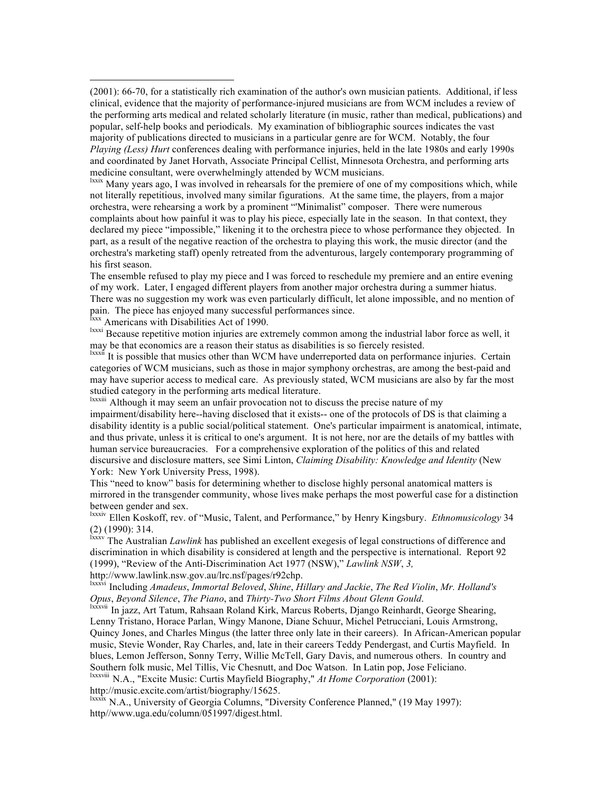(2001): 66-70, for a statistically rich examination of the author's own musician patients. Additional, if less clinical, evidence that the majority of performance-injured musicians are from WCM includes a review of the performing arts medical and related scholarly literature (in music, rather than medical, publications) and popular, self-help books and periodicals. My examination of bibliographic sources indicates the vast majority of publications directed to musicians in a particular genre are for WCM. Notably, the four *Playing (Less) Hurt* conferences dealing with performance injuries, held in the late 1980s and early 1990s and coordinated by Janet Horvath, Associate Principal Cellist, Minnesota Orchestra, and performing arts medicine consultant, were overwhelmingly attended by WCM musicians.<br><sup>Ixxix</sup> Many years ago, I was involved in rehearsals for the premiere of one of my compositions which, while

not literally repetitious, involved many similar figurations. At the same time, the players, from a major orchestra, were rehearsing a work by a prominent "'Minimalist" composer. There were numerous complaints about how painful it was to play his piece, especially late in the season. In that context, they declared my piece "impossible," likening it to the orchestra piece to whose performance they objected. In part, as a result of the negative reaction of the orchestra to playing this work, the music director (and the orchestra's marketing staff) openly retreated from the adventurous, largely contemporary programming of his first season.

The ensemble refused to play my piece and I was forced to reschedule my premiere and an entire evening of my work. Later, I engaged different players from another major orchestra during a summer hiatus. There was no suggestion my work was even particularly difficult, let alone impossible, and no mention of pain. The piece has enjoyed many successful performances since.<br>
<sup>Ixxx</sup> Americans with Disabilities Act of 1990.

<sup>lxxxi</sup> Because repetitive motion injuries are extremely common among the industrial labor force as well, it may be that economics are a reason their status as disabilities is so fiercely resisted.

<sup>lxxxii</sup> It is possible that musics other than WCM have underreported data on performance injuries. Certain categories of WCM musicians, such as those in major symphony orchestras, are among the best-paid and may have superior access to medical care. As previously stated, WCM musicians are also by far the most studied category in the performing arts medical literature.

lxxxiii Although it may seem an unfair provocation not to discuss the precise nature of my impairment/disability here--having disclosed that it exists-- one of the protocols of DS is that claiming a disability identity is a public social/political statement. One's particular impairment is anatomical, intimate, and thus private, unless it is critical to one's argument. It is not here, nor are the details of my battles with human service bureaucracies. For a comprehensive exploration of the politics of this and related discursive and disclosure matters, see Simi Linton, *Claiming Disability: Knowledge and Identity* (New York: New York University Press, 1998).

This "need to know" basis for determining whether to disclose highly personal anatomical matters is mirrored in the transgender community, whose lives make perhaps the most powerful case for a distinction between gender and sex.

lxxxiv Ellen Koskoff, rev. of "Music, Talent, and Performance," by Henry Kingsbury. *Ethnomusicology* 34 (2) (1990): 314.

lxxxv The Australian *Lawlink* has published an excellent exegesis of legal constructions of difference and discrimination in which disability is considered at length and the perspective is international. Report 92 (1999), "Review of the Anti-Discrimination Act 1977 (NSW)," *Lawlink NSW*, *3,*

http://www.lawlink.nsw.gov.au/lrc.nsf/pages/r92chp.

lxxxvi Including *Amadeus*, *Immortal Beloved*, *Shine*, *Hillary and Jackie*, *The Red Violin*, *Mr. Holland's* 

<sup>Ixxxvii</sup> In jazz, Art Tatum, Rahsaan Roland Kirk, Marcus Roberts, Django Reinhardt, George Shearing, Lenny Tristano, Horace Parlan, Wingy Manone, Diane Schuur, Michel Petrucciani, Louis Armstrong, Quincy Jones, and Charles Mingus (the latter three only late in their careers). In African-American popular music, Stevie Wonder, Ray Charles, and, late in their careers Teddy Pendergast, and Curtis Mayfield. In blues, Lemon Jefferson, Sonny Terry, Willie McTell, Gary Davis, and numerous others. In country and Southern folk music, Mel Tillis, Vic Chesnutt, and Doc Watson. In Latin pop, Jose Feliciano.

lxxxviii N.A., "Excite Music: Curtis Mayfield Biography," *At Home Corporation* (2001): http://music.excite.com/artist/biography/15625.

<sup>lxxx $\ddot{x}$ </sup> N.A., University of Georgia Columns, "Diversity Conference Planned," (19 May 1997): http//www.uga.edu/column/051997/digest.html.